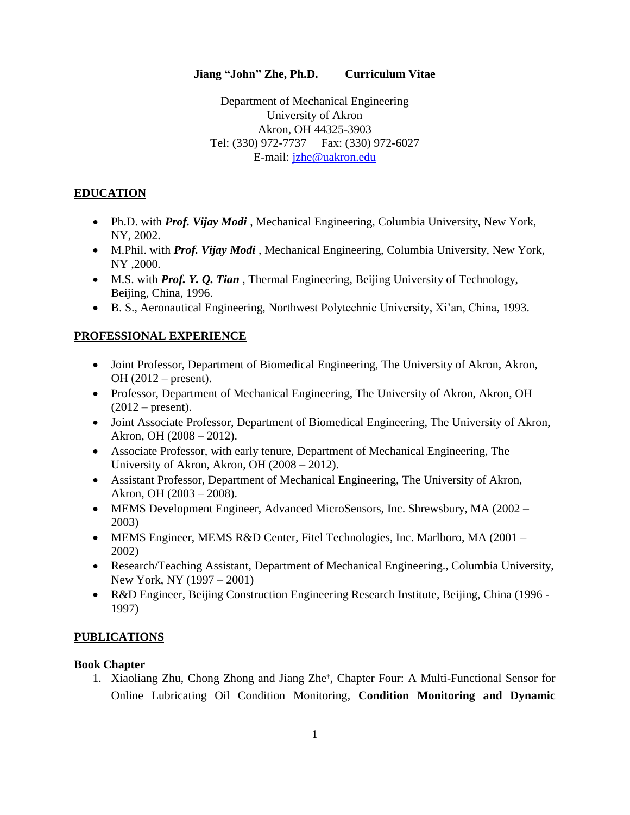### **Jiang "John" Zhe, Ph.D. Curriculum Vitae**

Department of Mechanical Engineering University of Akron Akron, OH 44325-3903 Tel: (330) 972-7737 Fax: (330) 972-6027 E-mail: [jzhe@uakron.edu](mailto:jzhe@uakron.edu)

### **EDUCATION**

- Ph.D. with *Prof. Vijay Modi* , Mechanical Engineering, Columbia University, New York, NY, 2002.
- M.Phil. with *Prof. Vijay Modi* , Mechanical Engineering, Columbia University, New York, NY *,*2000.
- M.S. with *Prof. Y. Q. Tian* , Thermal Engineering, Beijing University of Technology, Beijing, China, 1996.
- B. S., Aeronautical Engineering, Northwest Polytechnic University, Xi'an, China, 1993.

#### **PROFESSIONAL EXPERIENCE**

- Joint Professor, Department of Biomedical Engineering, The University of Akron, Akron, OH (2012 – present).
- Professor, Department of Mechanical Engineering, The University of Akron, Akron, OH  $(2012 - present).$
- Joint Associate Professor, Department of Biomedical Engineering, The University of Akron, Akron, OH (2008 – 2012).
- Associate Professor, with early tenure, Department of Mechanical Engineering, The University of Akron, Akron, OH (2008 – 2012).
- Assistant Professor, Department of Mechanical Engineering, The University of Akron, Akron, OH (2003 – 2008).
- MEMS Development Engineer, Advanced MicroSensors, Inc. Shrewsbury, MA (2002 2003)
- MEMS Engineer, MEMS R&D Center, Fitel Technologies, Inc. Marlboro, MA (2001 2002)
- Research/Teaching Assistant, Department of Mechanical Engineering., Columbia University, New York, NY (1997 – 2001)
- R&D Engineer, Beijing Construction Engineering Research Institute, Beijing, China (1996 1997)

#### **PUBLICATIONS**

#### **Book Chapter**

1. Xiaoliang Zhu, Chong Zhong and Jiang Zhe<sup>†</sup>, Chapter Four: A Multi-Functional Sensor for Online Lubricating Oil Condition Monitoring, **Condition Monitoring and Dynamic**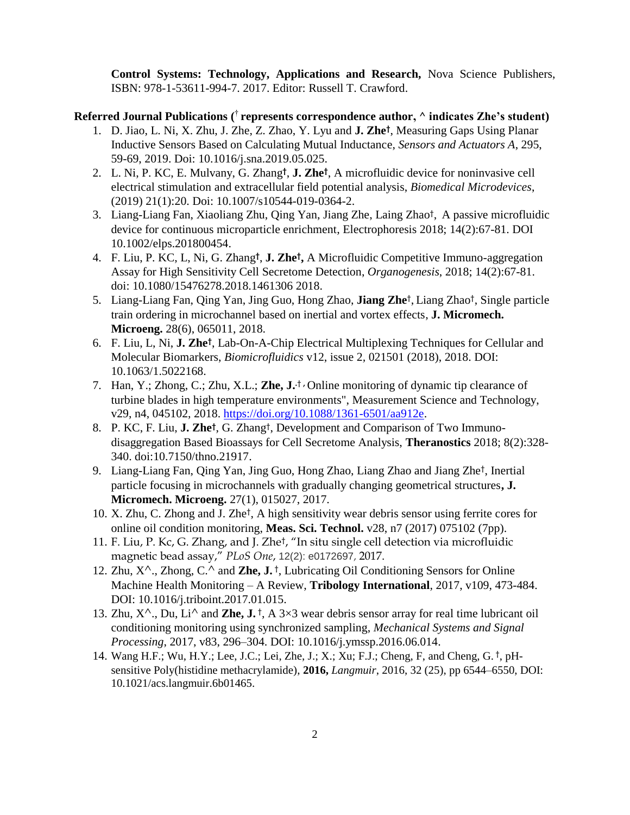**Control Systems: Technology, Applications and Research,** Nova Science Publishers, ISBN: 978-1-53611-994-7. 2017. Editor: Russell T. Crawford.

### **Referred Journal Publications (** † **represents correspondence author, ^ indicates Zhe's student)**

- 1. D. Jiao, L. Ni, X. Zhu, J. Zhe, Z. Zhao, Y. Lyu and **J. Zhe†** , Measuring Gaps Using Planar Inductive Sensors Based on Calculating Mutual Inductance, *Sensors and Actuators A*, 295, 59-69, 2019. Doi: 10.1016/j.sna.2019.05.025.
- 2. L. Ni, P. KC, E. Mulvany, G. Zhang**†** , **J. Zhe†** , A microfluidic device for noninvasive cell electrical stimulation and extracellular field potential analysis, *Biomedical Microdevices*, (2019) 21(1):20. Doi: 10.1007/s10544-019-0364-2.
- 3. Liang-Liang Fan, Xiaoliang Zhu, Qing Yan, Jiang Zhe, Laing Zhao† , A passive microfluidic device for continuous microparticle enrichment, Electrophoresis 2018; 14(2):67-81. DOI 10.1002/elps.201800454.
- 4. F. Liu, P. KC, L, Ni, G. Zhang**†** , **J. Zhe† ,** A Microfluidic Competitive Immuno-aggregation Assay for High Sensitivity Cell Secretome Detection, *Organogenesis*, 2018; 14(2):67-81. doi: 10.1080/15476278.2018.1461306 2018.
- 5. Liang-Liang Fan, Qing Yan, Jing Guo, Hong Zhao, **Jiang Zhe**† , Liang Zhao† , Single particle train ordering in microchannel based on inertial and vortex effects, **J. Micromech. Microeng.** 28(6), 065011, 2018.
- 6. F. Liu, L, Ni, **J. Zhe†** , Lab-On-A-Chip Electrical Multiplexing Techniques for Cellular and Molecular Biomarkers, *Biomicrofluidics* v12, issue 2*,* 021501 (2018), 2018. DOI: 10.1063/1.5022168.
- 7. Han, Y.; Zhong, C.; Zhu, X.L.; **Zhe, J. .**† **,** Online monitoring of dynamic tip clearance of turbine blades in high temperature environments", Measurement Science and Technology, v29, n4, 045102, 2018. [https://doi.org/10.1088/1361-6501/aa912e.](https://doi.org/10.1088/1361-6501/aa912e)
- 8. P. KC, F. Liu, **J. Zhe†** , G. Zhang† , Development and Comparison of Two Immunodisaggregation Based Bioassays for Cell Secretome Analysis, **Theranostics** 2018; 8(2):328- 340. doi:10.7150/thno.21917.
- 9. Liang-Liang Fan, Qing Yan, Jing Guo, Hong Zhao, Liang Zhao and Jiang Zhe† , Inertial particle focusing in microchannels with gradually changing geometrical structures**, J. Micromech. Microeng.** 27(1), 015027, 2017.
- 10. X. Zhu, C. Zhong and J. Zhe† , A high sensitivity wear debris sensor using ferrite cores for online oil condition monitoring, **Meas. Sci. Technol.** v28, n7 (2017) 075102 (7pp).
- 11. F. Liu, P. Kc, G. Zhang, and J. Zhe† , "In situ single cell detection via microfluidic magnetic bead assay," *PLoS One*, 12(2): e0172697, 2017.
- 12. Zhu, X^., Zhong, C.^ and **Zhe, J.** † , Lubricating Oil Conditioning Sensors for Online Machine Health Monitoring – A Review, **Tribology International**, 2017, v109, 473-484. DOI: 10.1016/j.triboint.2017.01.015.
- 13. Zhu,  $X^{\wedge}$ ., Du, Li<sup> $\wedge$ </sup> and **Zhe, J.** †, A 3×3 wear debris sensor array for real time lubricant oil conditioning monitoring using synchronized sampling, *Mechanical Systems and Signal Processing*, 2017, v83, 296–304. DOI: 10.1016/j.ymssp.2016.06.014.
- 14. Wang H.F.; Wu, H.Y.; Lee, J.C.; Lei, Zhe, J.; X.; Xu; F.J.; Cheng, F, and Cheng, G. † , pHsensitive Poly(histidine methacrylamide), **2016,** *Langmuir*, 2016, 32 (25), pp 6544–6550, DOI: 10.1021/acs.langmuir.6b01465.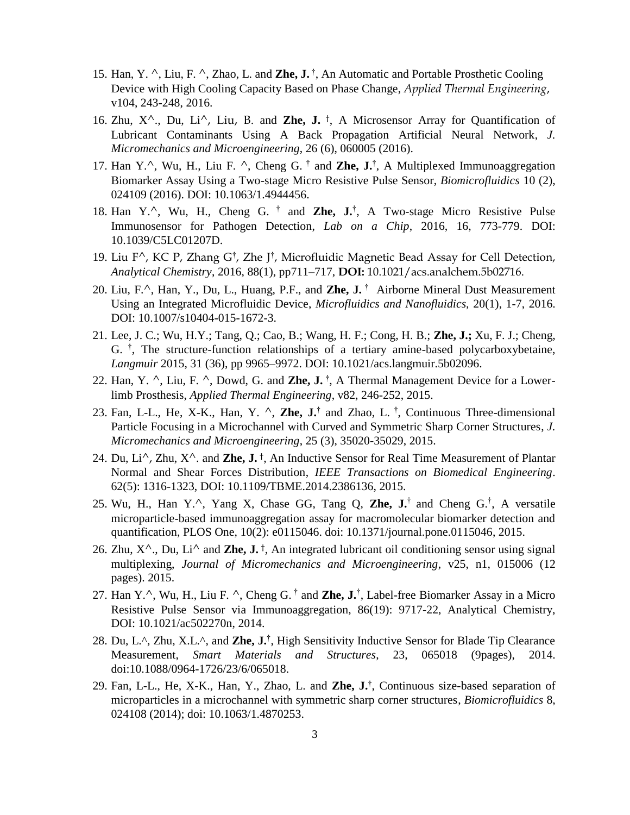- 15. Han, Y. ^, Liu, F. ^, Zhao, L. and **Zhe, J. †** , An Automatic and Portable Prosthetic Cooling Device with High Cooling Capacity Based on Phase Change, *Applied Thermal Engineering*, v104, 243-248, 2016.
- 16. Zhu,  $X^{\wedge}$ ., Du, Li $^{\wedge}$ , Liu, B. and **Zhe, J.** <sup>†</sup>, A Microsensor Array for Quantification of Lubricant Contaminants Using A Back Propagation Artificial Neural Network, *J. Micromechanics and Microengineering*, 26 (6), 060005 (2016).
- 17. Han Y.<sup>^</sup>, Wu, H., Liu F. ^, Cheng G. <sup>†</sup> and **Zhe, J.**<sup>†</sup>, A Multiplexed Immunoaggregation Biomarker Assay Using a Two-stage Micro Resistive Pulse Sensor, *Biomicrofluidics* 10 (2), 024109 (2016). DOI: 10.1063/1.4944456.
- 18. Han Y.^, Wu, H., Cheng G. † and **Zhe, J.**† , A Two-stage Micro Resistive Pulse Immunosensor for Pathogen Detection, *Lab on a Chip*, 2016, 16, 773-779. DOI: 10.1039/C5LC01207D.
- 19. Liu F^, KC P, Zhang G**†** , Zhe J**†** , Microfluidic Magnetic Bead Assay for Cell Detection, *Analytical Chemistry*, 2016, 88(1), pp711–717, **DOI:** 10.1021/acs.analchem.5b02716.
- 20. Liu, F.^, Han, Y., Du, L., Huang, P.F., and **Zhe, J. †** Airborne Mineral Dust Measurement Using an Integrated Microfluidic Device, *Microfluidics and Nanofluidics,* 20(1), 1-7, 2016. DOI: 10.1007/s10404-015-1672-3.
- 21. Lee, J. C.; Wu, H.Y.; Tang, Q.; Cao, B.; Wang, H. F.; Cong, H. B.; **Zhe, J.;** Xu, F. J.; Cheng, G. **†** , The structure-function relationships of a tertiary amine-based polycarboxybetaine, *Langmuir* 2015, 31 (36), pp 9965–9972. DOI: 10.1021/acs.langmuir.5b02096.
- 22. Han, Y. ^, Liu, F. ^, Dowd, G. and **Zhe, J. †** , A Thermal Management Device for a Lowerlimb Prosthesis, *Applied Thermal Engineering*, v82, 246-252, 2015.
- 23. Fan, L-L., He, X-K., Han, Y. ^, **Zhe, J.†** and Zhao, L. **†** , Continuous Three-dimensional Particle Focusing in a Microchannel with Curved and Symmetric Sharp Corner Structures, *J. Micromechanics and Microengineering*, 25 (3), 35020-35029, 2015.
- 24. Du, Li^, Zhu, X^. and **Zhe, J.** † , An Inductive Sensor for Real Time Measurement of Plantar Normal and Shear Forces Distribution, *IEEE Transactions on Biomedical Engineering*. 62(5): 1316-1323, DOI: 10.1109/TBME.2014.2386136, 2015.
- 25. Wu, H., Han Y.^, Yang X, Chase GG, Tang Q, **Zhe, J.**† and Cheng G.† , A versatile microparticle-based immunoaggregation assay for macromolecular biomarker detection and quantification, PLOS One, 10(2): e0115046. doi: 10.1371/journal.pone.0115046, 2015.
- 26. Zhu,  $X^{\wedge}$ ., Du, Li<sup> $\wedge$ </sup> and **Zhe, J.** †, An integrated lubricant oil conditioning sensor using signal multiplexing, *Journal of Micromechanics and Microengineering*, v25, n1, 015006 (12 pages). 2015.
- 27. Han Y.<sup>^</sup>, Wu, H., Liu F. <sup>^</sup>, Cheng G. <sup>†</sup> and **Zhe, J.**<sup>†</sup>, Label-free Biomarker Assay in a Micro Resistive Pulse Sensor via Immunoaggregation, 86(19): 9717-22, Analytical Chemistry, DOI: 10.1021/ac502270n, 2014.
- 28. Du, L.<sup>^</sup>, Zhu, X.L.<sup>^</sup>, and **Zhe, J.**<sup>†</sup>, High Sensitivity Inductive Sensor for Blade Tip Clearance Measurement, *Smart Materials and Structures*, 23, 065018 (9pages), 2014. doi:10.1088/0964-1726/23/6/065018.
- 29. Fan, L-L., He, X-K., Han, Y., Zhao, L. and **Zhe, J.†** , Continuous size-based separation of microparticles in a microchannel with symmetric sharp corner structures, *Biomicrofluidics* 8, 024108 (2014); doi: 10.1063/1.4870253.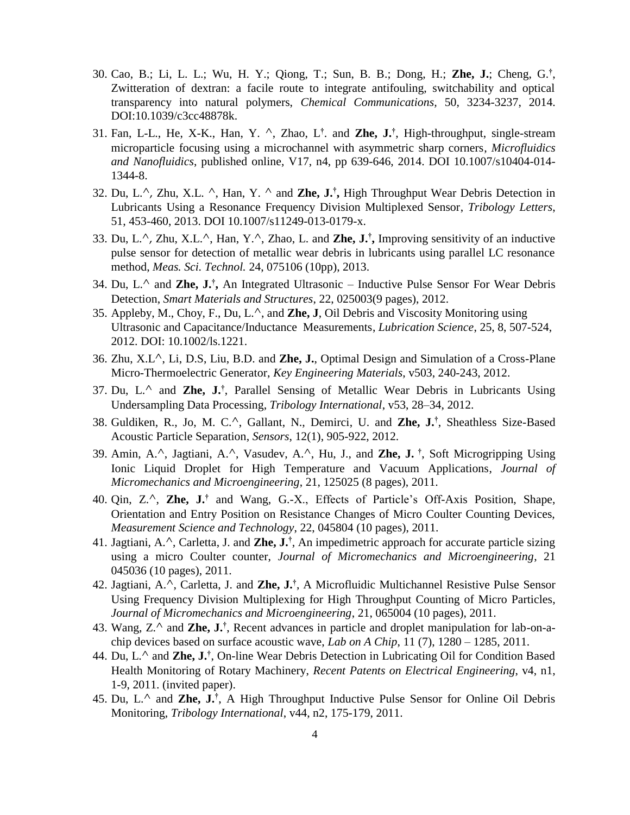- 30. Cao, B.; Li, L. L.; Wu, H. Y.; Qiong, T.; Sun, B. B.; Dong, H.; **Zhe, J.**; Cheng, G.**†** , Zwitteration of dextran: a facile route to integrate antifouling, switchability and optical transparency into natural polymers, *Chemical Communications,* 50, 3234-3237, 2014. DOI:10.1039/c3cc48878k.
- 31. Fan, L-L., He, X-K., Han, Y. ^, Zhao, L**†** . and **Zhe, J.†** , High-throughput, single-stream microparticle focusing using a microchannel with asymmetric sharp corners, *Microfluidics and Nanofluidics*, published online, V17, n4, pp 639-646, 2014. DOI 10.1007/s10404-014- 1344-8.
- 32. Du, L.^, Zhu, X.L. ^, Han, Y. ^ and **Zhe, J.† ,** High Throughput Wear Debris Detection in Lubricants Using a Resonance Frequency Division Multiplexed Sensor, *Tribology Letters*, 51, 453-460, 2013. DOI 10.1007/s11249-013-0179-x.
- 33. Du, L.^, Zhu, X.L.^, Han, Y.^, Zhao, L. and **Zhe, J.† ,** Improving sensitivity of an inductive pulse sensor for detection of metallic wear debris in lubricants using parallel LC resonance method, *Meas. Sci. Technol.* 24, 075106 (10pp), 2013.
- 34. Du, L.^ and **Zhe, J.† ,** An Integrated Ultrasonic Inductive Pulse Sensor For Wear Debris Detection, *Smart Materials and Structures*, 22, 025003(9 pages), 2012.
- 35. Appleby, M., Choy, F., Du, L.^, and **Zhe, J**, Oil Debris and Viscosity Monitoring using Ultrasonic and Capacitance/Inductance Measurements, *Lubrication Science*, 25, 8, 507-524, 2012. DOI: 10.1002/ls.1221.
- 36. Zhu, X.L^, Li, D.S, Liu, B.D. and **Zhe, J.**, Optimal Design and Simulation of a Cross-Plane Micro-Thermoelectric Generator, *Key Engineering Materials*, v503, 240-243, 2012.
- 37. Du, L.^ and **Zhe, J.†** , Parallel Sensing of Metallic Wear Debris in Lubricants Using Undersampling Data Processing, *Tribology International*, v53, 28–34, 2012.
- 38. Guldiken, R., Jo, M. C.^, Gallant, N., Demirci, U. and **Zhe, J.†** , Sheathless Size-Based Acoustic Particle Separation, *Sensors*, 12(1), 905-922, 2012.
- 39. Amin, A.^, Jagtiani, A.^, Vasudev, A.^, Hu, J., and **Zhe, J. †** , Soft Microgripping Using Ionic Liquid Droplet for High Temperature and Vacuum Applications, *Journal of Micromechanics and Microengineering*, 21, 125025 (8 pages), 2011.
- 40. Qin, Z.^, **Zhe, J. †** and Wang, G.-X., Effects of Particle's Off-Axis Position, Shape, Orientation and Entry Position on Resistance Changes of Micro Coulter Counting Devices, *Measurement Science and Technology*, 22, 045804 (10 pages), 2011.
- 41. Jagtiani, A.^, Carletta, J. and **Zhe, J.†** , An impedimetric approach for accurate particle sizing using a micro Coulter counter, *Journal of Micromechanics and Microengineering*, 21 045036 (10 pages), 2011.
- 42. Jagtiani, A.^, Carletta, J. and **Zhe, J.†** , A Microfluidic Multichannel Resistive Pulse Sensor Using Frequency Division Multiplexing for High Throughput Counting of Micro Particles, *Journal of Micromechanics and Microengineering*, 21, 065004 (10 pages), 2011.
- 43. Wang, Z.^ and **Zhe, J.†** , Recent advances in particle and droplet manipulation for lab-on-achip devices based on surface acoustic wave, *Lab on A Chip*, 11 (7), 1280 – 1285, 2011.
- 44. Du, L.^ and **Zhe, J.†** , On-line Wear Debris Detection in Lubricating Oil for Condition Based Health Monitoring of Rotary Machinery, *Recent Patents on Electrical Engineering*, v4, n1, 1-9, 2011. (invited paper).
- 45. Du, L.^ and **Zhe, J.†** , A High Throughput Inductive Pulse Sensor for Online Oil Debris Monitoring, *Tribology International*, v44, n2, 175-179, 2011.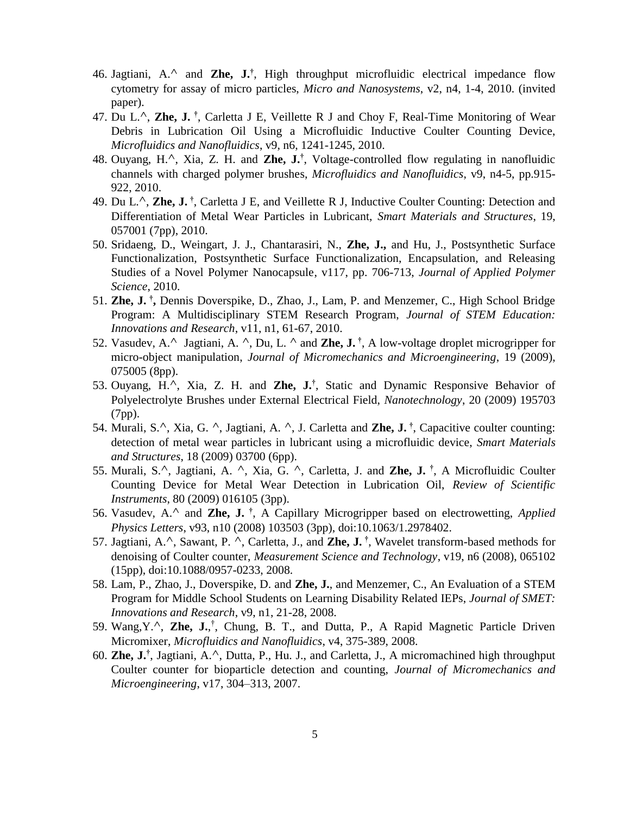- 46. Jagtiani, A.^ and **Zhe, J.†** , High throughput microfluidic electrical impedance flow cytometry for assay of micro particles, *Micro and Nanosystems*, v2, n4, 1-4, 2010. (invited paper).
- 47. Du L.^, **Zhe, J. †** , Carletta J E, Veillette R J and Choy F, Real-Time Monitoring of Wear Debris in Lubrication Oil Using a Microfluidic Inductive Coulter Counting Device, *Microfluidics and Nanofluidics*, v9, n6, 1241-1245, 2010.
- 48. Ouyang, H.^, Xia, Z. H. and **Zhe, J.†** , Voltage-controlled flow regulating in nanofluidic channels with charged polymer brushes, *Microfluidics and Nanofluidics*, v9, n4-5, pp.915- 922, 2010.
- 49. Du L.^, **Zhe, J. †** , Carletta J E, and Veillette R J, Inductive Coulter Counting: Detection and Differentiation of Metal Wear Particles in Lubricant, *Smart Materials and Structures*, 19, 057001 (7pp), 2010.
- 50. Sridaeng, D., Weingart, J. J., Chantarasiri, N., **Zhe, J.,** and Hu, J., Postsynthetic Surface Functionalization, Postsynthetic Surface Functionalization, Encapsulation, and Releasing Studies of a Novel Polymer Nanocapsule, v117, pp. 706-713, *Journal of Applied Polymer Science*, 2010.
- 51. **Zhe, J. † ,** Dennis Doverspike, D., Zhao, J., Lam, P. and Menzemer, C., High School Bridge Program: A Multidisciplinary STEM Research Program, *Journal of STEM Education: Innovations and Research*, v11, n1, 61-67, 2010.
- 52. Vasudev, A.^ Jagtiani, A. ^, Du, L. ^ and **Zhe, J. †** , A low-voltage droplet microgripper for micro-object manipulation, *Journal of Micromechanics and Microengineering*, 19 (2009), 075005 (8pp).
- 53. Ouyang, H.^, Xia, Z. H. and **Zhe, J.†** , Static and Dynamic Responsive Behavior of Polyelectrolyte Brushes under External Electrical Field, *Nanotechnology*, 20 (2009) 195703 (7pp).
- 54. Murali, S.^, Xia, G. ^, Jagtiani, A. ^, J. Carletta and **Zhe, J. †** , Capacitive coulter counting: detection of metal wear particles in lubricant using a microfluidic device, *Smart Materials and Structures*, 18 (2009) 03700 (6pp).
- 55. Murali, S.^, Jagtiani, A. ^, Xia, G. ^, Carletta, J. and **Zhe, J. †** , A Microfluidic Coulter Counting Device for Metal Wear Detection in Lubrication Oil, *Review of Scientific Instruments*, 80 (2009) 016105 (3pp).
- 56. Vasudev, A.^ and **Zhe, J. †** , A Capillary Microgripper based on electrowetting, *Applied Physics Letters*, v93, n10 (2008) 103503 (3pp), doi:10.1063/1.2978402.
- 57. Jagtiani, A.^, Sawant, P. ^, Carletta, J., and **Zhe, J. †** , Wavelet transform-based methods for denoising of Coulter counter, *Measurement Science and Technology*, v19, n6 (2008), 065102 (15pp), doi:10.1088/0957-0233, 2008.
- 58. Lam, P., Zhao, J., Doverspike, D. and **Zhe, J.**, and Menzemer, C., An Evaluation of a STEM Program for Middle School Students on Learning Disability Related IEPs, *Journal of SMET: Innovations and Research*, v9, n1, 21-28, 2008.
- 59. Wang, Y.<sup>^</sup>, Zhe, J.,<sup>†</sup>, Chung, B. T., and Dutta, P., A Rapid Magnetic Particle Driven Micromixer, *Microfluidics and Nanofluidics*, v4, 375-389, 2008.
- 60. **Zhe, J.†** , Jagtiani, A.^, Dutta, P., Hu. J., and Carletta, J., A micromachined high throughput Coulter counter for bioparticle detection and counting, *Journal of Micromechanics and Microengineering*, v17, 304–313, 2007.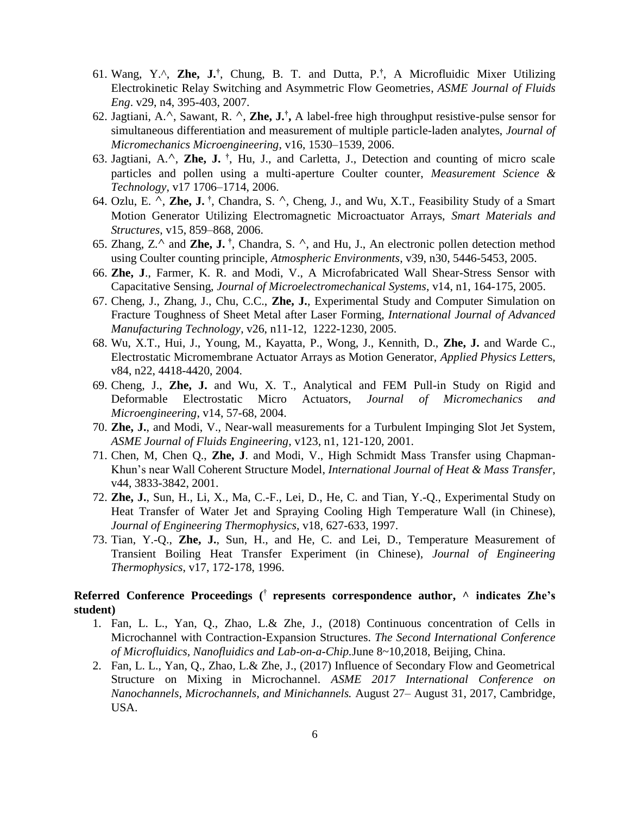- 61. Wang, Y.^, **Zhe, J.†** , Chung, B. T. and Dutta, P.**†** , A Microfluidic Mixer Utilizing Electrokinetic Relay Switching and Asymmetric Flow Geometries, *ASME Journal of Fluids Eng*. v29, n4, 395-403, 2007.
- 62. Jagtiani, A.^, Sawant, R. ^, **Zhe, J.† ,** A label-free high throughput resistive-pulse sensor for simultaneous differentiation and measurement of multiple particle-laden analytes, *Journal of Micromechanics Microengineering*, v16, 1530–1539, 2006.
- 63. Jagtiani, A.^, **Zhe, J. †** , Hu, J., and Carletta, J., Detection and counting of micro scale particles and pollen using a multi-aperture Coulter counter, *Measurement Science & Technology*, v17 1706–1714, 2006.
- 64. Ozlu, E. ^, **Zhe, J. †** , Chandra, S. ^, Cheng, J., and Wu, X.T., Feasibility Study of a Smart Motion Generator Utilizing Electromagnetic Microactuator Arrays, *Smart Materials and Structures*, v15, 859–868, 2006.
- 65. Zhang, Z.^ and **Zhe, J. †** , Chandra, S. ^, and Hu, J., An electronic pollen detection method using Coulter counting principle, *Atmospheric Environments*, v39, n30, 5446-5453, 2005.
- 66. **Zhe, J**., Farmer, K. R. and Modi, V., A Microfabricated Wall Shear-Stress Sensor with Capacitative Sensing, *Journal of Microelectromechanical Systems*, v14, n1, 164-175, 2005.
- 67. Cheng, J., Zhang, J., Chu, C.C., **Zhe, J.**, Experimental Study and Computer Simulation on Fracture Toughness of Sheet Metal after Laser Forming, *International Journal of Advanced Manufacturing Technology*, v26, n11-12, 1222-1230, 2005.
- 68. Wu, X.T., Hui, J., Young, M., Kayatta, P., Wong, J., Kennith, D., **Zhe, J.** and Warde C., Electrostatic Micromembrane Actuator Arrays as Motion Generator, *Applied Physics Letter*s, v84, n22, 4418-4420, 2004.
- 69. Cheng, J., **Zhe, J.** and Wu, X. T., Analytical and FEM Pull-in Study on Rigid and Deformable Electrostatic Micro Actuators, *Journal of Micromechanics and Microengineering*, v14, 57-68, 2004.
- 70. **Zhe, J.**, and Modi, V., Near-wall measurements for a Turbulent Impinging Slot Jet System, *ASME Journal of Fluids Engineering*, v123, n1, 121-120, 2001.
- 71. Chen, M, Chen Q., **Zhe, J**. and Modi, V., High Schmidt Mass Transfer using Chapman-Khun's near Wall Coherent Structure Model, *International Journal of Heat & Mass Transfer*, v44, 3833-3842, 2001.
- 72. **Zhe, J.**, Sun, H., Li, X., Ma, C.-F., Lei, D., He, C. and Tian, Y.-Q., Experimental Study on Heat Transfer of Water Jet and Spraying Cooling High Temperature Wall (in Chinese), *Journal of Engineering Thermophysics*, v18, 627-633, 1997.
- 73. Tian, Y.-Q., **Zhe, J.**, Sun, H., and He, C. and Lei, D., Temperature Measurement of Transient Boiling Heat Transfer Experiment (in Chinese), *Journal of Engineering Thermophysics*, v17, 172-178, 1996.

### **Referred Conference Proceedings (** † **represents correspondence author, ^ indicates Zhe's student)**

- 1. Fan, L. L., Yan, Q., Zhao, L.& Zhe, J., (2018) Continuous concentration of Cells in Microchannel with Contraction-Expansion Structures. *The Second International Conference of Microfluidics, Nanofluidics and Lab-on-a-Chip.*June 8~10,2018, Beijing, China.
- 2. Fan, L. L., Yan, Q., Zhao, L.& Zhe, J., (2017) Influence of Secondary Flow and Geometrical Structure on Mixing in Microchannel. *ASME 2017 International Conference on Nanochannels, Microchannels, and Minichannels.* August 27– August 31, 2017, Cambridge, USA.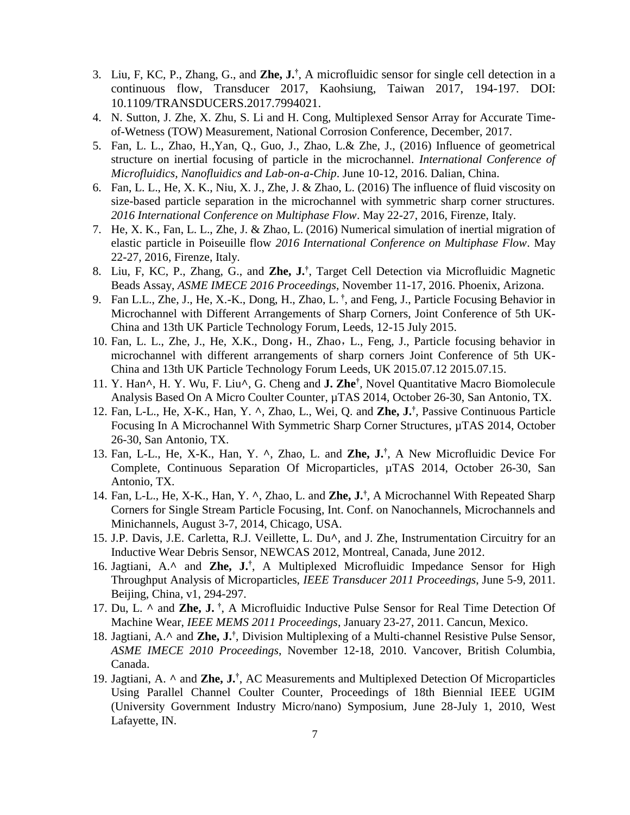- 3. Liu, F, KC, P., Zhang, G., and **Zhe, J.†** , A microfluidic sensor for single cell detection in a continuous flow, Transducer 2017, Kaohsiung, Taiwan 2017, 194-197. DOI: 10.1109/TRANSDUCERS.2017.7994021.
- 4. N. Sutton, J. Zhe, X. Zhu, S. Li and H. Cong, Multiplexed Sensor Array for Accurate Timeof-Wetness (TOW) Measurement, National Corrosion Conference, December, 2017.
- 5. Fan, L. L., Zhao, H.,Yan, Q., Guo, J., Zhao, L.& Zhe, J., (2016) Influence of geometrical structure on inertial focusing of particle in the microchannel. *International Conference of Microfluidics, Nanofluidics and Lab-on-a-Chip*. June 10-12, 2016. Dalian, China.
- 6. Fan, L. L., He, X. K., Niu, X. J., Zhe, J. & Zhao, L. (2016) The influence of fluid viscosity on size-based particle separation in the microchannel with symmetric sharp corner structures. *2016 International Conference on Multiphase Flow*. May 22-27, 2016, Firenze, Italy.
- 7. He, X. K., Fan, L. L., Zhe, J. & Zhao, L. (2016) Numerical simulation of inertial migration of elastic particle in Poiseuille flow *2016 International Conference on Multiphase Flow*. May 22-27, 2016, Firenze, Italy.
- 8. Liu, F, KC, P., Zhang, G., and **Zhe, J.†** , Target Cell Detection via Microfluidic Magnetic Beads Assay, *ASME IMECE 2016 Proceedings*, November 11-17, 2016. Phoenix, Arizona.
- 9. Fan L.L., Zhe, J., He, X.-K., Dong, H., Zhao, L. **†** , and Feng, J., Particle Focusing Behavior in Microchannel with Different Arrangements of Sharp Corners, Joint Conference of 5th UK-China and 13th UK Particle Technology Forum, Leeds, 12-15 July 2015.
- 10. Fan, L. L., Zhe, J., He, X.K., Dong,H., Zhao,L., Feng, J., Particle focusing behavior in microchannel with different arrangements of sharp corners Joint Conference of 5th UK-China and 13th UK Particle Technology Forum Leeds, UK 2015.07.12 2015.07.15.
- 11. Y. Han**^**, H. Y. Wu, F. Liu**^**, G. Cheng and **J. Zhe†** , Novel Quantitative Macro Biomolecule Analysis Based On A Micro Coulter Counter, µTAS 2014, October 26-30, San Antonio, TX.
- 12. Fan, L-L., He, X-K., Han, Y. **^**, Zhao, L., Wei, Q. and **Zhe, J.†** , Passive Continuous Particle Focusing In A Microchannel With Symmetric Sharp Corner Structures, µTAS 2014, October 26-30, San Antonio, TX.
- 13. Fan, L-L., He, X-K., Han, Y. **^**, Zhao, L. and **Zhe, J.†** , A New Microfluidic Device For Complete, Continuous Separation Of Microparticles, µTAS 2014, October 26-30, San Antonio, TX.
- 14. Fan, L-L., He, X-K., Han, Y. **^**, Zhao, L. and **Zhe, J.†** , A Microchannel With Repeated Sharp Corners for Single Stream Particle Focusing, Int. Conf. on Nanochannels, Microchannels and Minichannels, August 3-7, 2014, Chicago, USA.
- 15. J.P. Davis, J.E. Carletta, R.J. Veillette, L. Du**^**, and J. Zhe, Instrumentation Circuitry for an Inductive Wear Debris Sensor, NEWCAS 2012, Montreal, Canada, June 2012.
- 16. Jagtiani, A.**^** and **Zhe, J.†** , A Multiplexed Microfluidic Impedance Sensor for High Throughput Analysis of Microparticles, *IEEE Transducer 2011 Proceedings*, June 5-9, 2011. Beijing, China, v1, 294-297.
- 17. Du, L. **^** and **Zhe, J. †** , A Microfluidic Inductive Pulse Sensor for Real Time Detection Of Machine Wear, *IEEE MEMS 2011 Proceedings*, January 23-27, 2011. Cancun, Mexico.
- 18. Jagtiani, A.**^** and **Zhe, J.†** , Division Multiplexing of a Multi-channel Resistive Pulse Sensor, *ASME IMECE 2010 Proceedings*, November 12-18, 2010. Vancover, British Columbia, Canada.
- 19. Jagtiani, A. **^** and **Zhe, J.†** , AC Measurements and Multiplexed Detection Of Microparticles Using Parallel Channel Coulter Counter, Proceedings of 18th Biennial IEEE UGIM (University Government Industry Micro/nano) Symposium, June 28-July 1, 2010, West Lafayette, IN.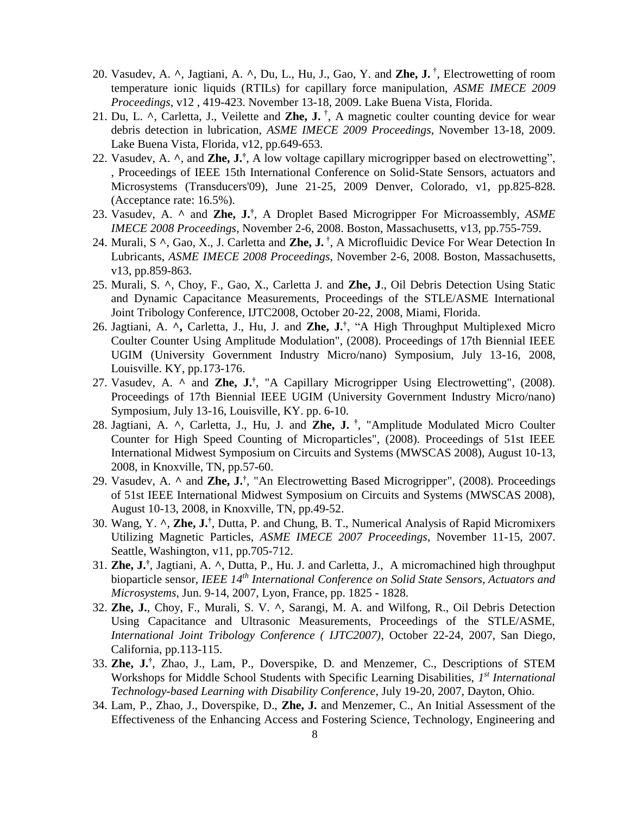- 20. Vasudev, A. **^**, Jagtiani, A. **^**, Du, L., Hu, J., Gao, Y. and **Zhe, J.** † , Electrowetting of room temperature ionic liquids (RTILs) for capillary force manipulation, *ASME IMECE 2009 Proceedings*, v12 , 419-423. November 13-18, 2009. Lake Buena Vista, Florida.
- 21. Du, L. **^**, Carletta, J., Veilette and **Zhe, J.** † , A magnetic coulter counting device for wear debris detection in lubrication, *ASME IMECE 2009 Proceedings*, November 13-18, 2009. Lake Buena Vista, Florida, v12, pp.649-653.
- 22. Vasudev, A. **^**, and **Zhe, J.†** , A low voltage capillary microgripper based on electrowetting", , Proceedings of IEEE 15th International Conference on Solid-State Sensors, actuators and Microsystems (Transducers'09), June 21-25, 2009 Denver, Colorado, v1, pp.825-828. (Acceptance rate: 16.5%).
- 23. Vasudev, A. **^** and **Zhe, J.†** , A Droplet Based Microgripper For Microassembly, *ASME IMECE 2008 Proceedings*, November 2-6, 2008. Boston, Massachusetts, v13, pp.755-759.
- 24. Murali, S **^**, Gao, X., J. Carletta and **Zhe, J.** † , A Microfluidic Device For Wear Detection In Lubricants, *ASME IMECE 2008 Proceedings*, November 2-6, 2008. Boston, Massachusetts, v13, pp.859-863.
- 25. Murali, S. **^**, Choy, F., Gao, X., Carletta J. and **Zhe, J**., Oil Debris Detection Using Static and Dynamic Capacitance Measurements, Proceedings of the STLE/ASME International Joint Tribology Conference, IJTC2008, October 20-22, 2008, Miami, Florida.
- 26. Jagtiani, A. **^,** Carletta, J., Hu, J. and **Zhe, J.†** , "A High Throughput Multiplexed Micro Coulter Counter Using Amplitude Modulation", (2008). Proceedings of 17th Biennial IEEE UGIM (University Government Industry Micro/nano) Symposium, July 13-16, 2008, Louisville. KY, pp.173-176.
- 27. Vasudev, A. **^** and **Zhe, J.†** , "A Capillary Microgripper Using Electrowetting", (2008). Proceedings of 17th Biennial IEEE UGIM (University Government Industry Micro/nano) Symposium, July 13-16, Louisville, KY. pp. 6-10.
- 28. Jagtiani, A. **^**, Carletta, J., Hu, J. and **Zhe, J. †** , "Amplitude Modulated Micro Coulter Counter for High Speed Counting of Microparticles", (2008). Proceedings of 51st IEEE International Midwest Symposium on Circuits and Systems (MWSCAS 2008), August 10-13, 2008, in Knoxville, TN, pp.57-60.
- 29. Vasudev, A. **^** and **Zhe, J.†** , "An Electrowetting Based Microgripper", (2008). Proceedings of 51st IEEE International Midwest Symposium on Circuits and Systems (MWSCAS 2008), August 10-13, 2008, in Knoxville, TN, pp.49-52.
- 30. Wang, Y. **^**, **Zhe, J.†** , Dutta, P. and Chung, B. T., Numerical Analysis of Rapid Micromixers Utilizing Magnetic Particles, *ASME IMECE 2007 Proceedings*, November 11-15, 2007. Seattle, Washington, v11, pp.705-712.
- 31. **Zhe, J.†** , Jagtiani, A. **^**, Dutta, P., Hu. J. and Carletta, J., A micromachined high throughput bioparticle sensor, *IEEE 14th International Conference on Solid State Sensors, Actuators and Microsystems*, Jun. 9-14, 2007, Lyon, France, pp. 1825 - 1828.
- 32. **Zhe, J.**, Choy, F., Murali, S. V. **^**, Sarangi, M. A. and Wilfong, R., Oil Debris Detection Using Capacitance and Ultrasonic Measurements, Proceedings of the STLE/ASME, *International Joint Tribology Conference ( IJTC2007)*, October 22-24, 2007, San Diego, California, pp.113-115.
- 33. **Zhe, J.†** , Zhao, J., Lam, P., Doverspike, D. and Menzemer, C., Descriptions of STEM Workshops for Middle School Students with Specific Learning Disabilities, 1<sup>st</sup> International *Technology-based Learning with Disability Conference*, July 19-20, 2007, Dayton, Ohio.
- 34. Lam, P., Zhao, J., Doverspike, D., **Zhe, J.** and Menzemer, C., An Initial Assessment of the Effectiveness of the Enhancing Access and Fostering Science, Technology, Engineering and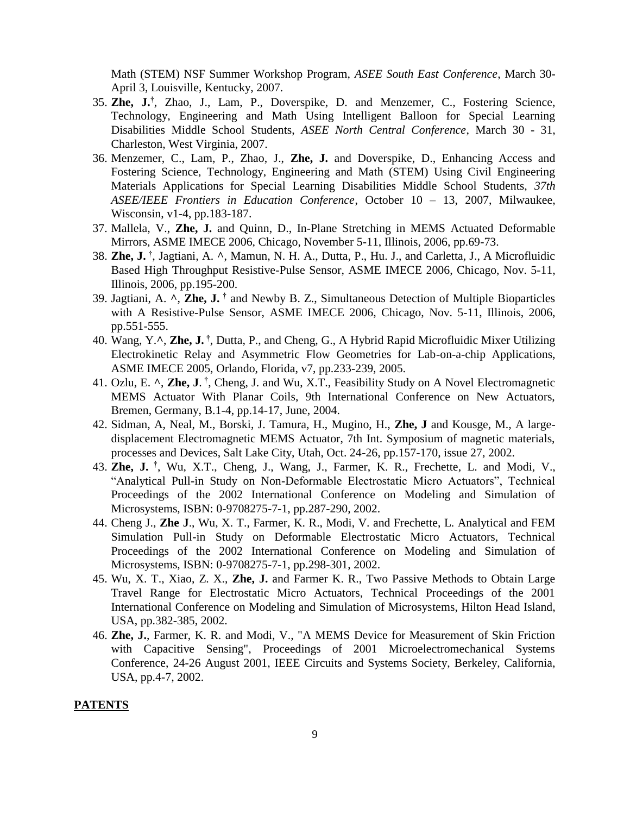Math (STEM) NSF Summer Workshop Program, *ASEE South East Conference*, March 30- April 3, Louisville, Kentucky, 2007.

- 35. **Zhe, J.†** , Zhao, J., Lam, P., Doverspike, D. and Menzemer, C., Fostering Science, Technology, Engineering and Math Using Intelligent Balloon for Special Learning Disabilities Middle School Students, *ASEE North Central Conference*, March 30 - 31, Charleston, West Virginia, 2007.
- 36. Menzemer, C., Lam, P., Zhao, J., **Zhe, J.** and Doverspike, D., Enhancing Access and Fostering Science, Technology, Engineering and Math (STEM) Using Civil Engineering Materials Applications for Special Learning Disabilities Middle School Students, *37th ASEE/IEEE Frontiers in Education Conference*, October 10 – 13, 2007, Milwaukee, Wisconsin, v1-4, pp.183-187.
- 37. Mallela, V., **Zhe, J.** and Quinn, D., In-Plane Stretching in MEMS Actuated Deformable Mirrors, ASME IMECE 2006, Chicago, November 5-11, Illinois, 2006, pp.69-73.
- 38. **Zhe, J. †** , Jagtiani, A. **^**, Mamun, N. H. A., Dutta, P., Hu. J., and Carletta, J., A Microfluidic Based High Throughput Resistive-Pulse Sensor, ASME IMECE 2006, Chicago, Nov. 5-11, Illinois, 2006, pp.195-200.
- 39. Jagtiani, A. **^**, **Zhe, J. †** and Newby B. Z., Simultaneous Detection of Multiple Bioparticles with A Resistive-Pulse Sensor, ASME IMECE 2006, Chicago, Nov. 5-11, Illinois, 2006, pp.551-555.
- 40. Wang, Y.**^**, **Zhe, J. †** , Dutta, P., and Cheng, G., A Hybrid Rapid Microfluidic Mixer Utilizing Electrokinetic Relay and Asymmetric Flow Geometries for Lab-on-a-chip Applications, ASME IMECE 2005, Orlando, Florida, v7, pp.233-239, 2005.
- 41. Ozlu, E.  $\wedge$ , **Zhe, J**.<sup>†</sup>, Cheng, J. and Wu, X.T., Feasibility Study on A Novel Electromagnetic MEMS Actuator With Planar Coils, 9th International Conference on New Actuators, Bremen, Germany, B.1-4, pp.14-17, June, 2004.
- 42. Sidman, A, Neal, M., Borski, J. Tamura, H., Mugino, H., **Zhe, J** and Kousge, M., A largedisplacement Electromagnetic MEMS Actuator, 7th Int. Symposium of magnetic materials, processes and Devices, Salt Lake City, Utah, Oct. 24-26, pp.157-170, issue 27, 2002.
- 43. **Zhe, J. †** , Wu, X.T., Cheng, J., Wang, J., Farmer, K. R., Frechette, L. and Modi, V., "Analytical Pull-in Study on Non-Deformable Electrostatic Micro Actuators", Technical Proceedings of the 2002 International Conference on Modeling and Simulation of Microsystems, ISBN: 0-9708275-7-1, pp.287-290, 2002.
- 44. Cheng J., **Zhe J**., Wu, X. T., Farmer, K. R., Modi, V. and Frechette, L. Analytical and FEM Simulation Pull-in Study on Deformable Electrostatic Micro Actuators, Technical Proceedings of the 2002 International Conference on Modeling and Simulation of Microsystems, ISBN: 0-9708275-7-1, pp.298-301, 2002.
- 45. Wu, X. T., Xiao, Z. X., **Zhe, J.** and Farmer K. R., Two Passive Methods to Obtain Large Travel Range for Electrostatic Micro Actuators, Technical Proceedings of the 2001 International Conference on Modeling and Simulation of Microsystems, Hilton Head Island, USA, pp.382-385, 2002.
- 46. **Zhe, J.**, Farmer, K. R. and Modi, V., "A MEMS Device for Measurement of Skin Friction with Capacitive Sensing", Proceedings of 2001 Microelectromechanical Systems Conference, 24-26 August 2001, IEEE Circuits and Systems Society, Berkeley, California, USA, pp.4-7, 2002.

#### **PATENTS**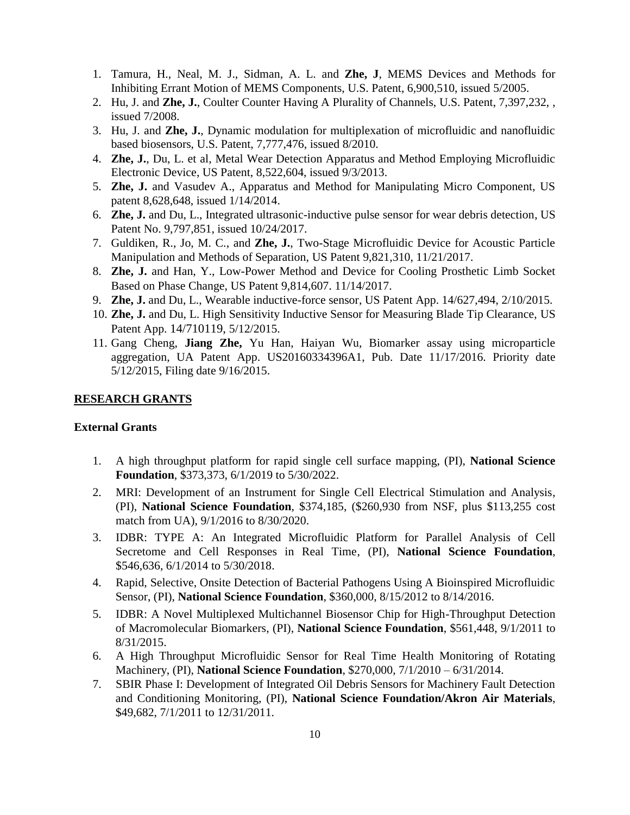- 1. Tamura, H., Neal, M. J., Sidman, A. L. and **Zhe, J**, MEMS Devices and Methods for Inhibiting Errant Motion of MEMS Components, U.S. Patent, 6,900,510, issued 5/2005.
- 2. Hu, J. and **Zhe, J.**, Coulter Counter Having A Plurality of Channels, U.S. Patent, 7,397,232, , issued 7/2008.
- 3. Hu, J. and **Zhe, J.**, Dynamic modulation for multiplexation of microfluidic and nanofluidic based biosensors, U.S. Patent, 7,777,476, issued 8/2010.
- 4. **Zhe, J.**, Du, L. et al, Metal Wear Detection Apparatus and Method Employing Microfluidic Electronic Device, US Patent, 8,522,604, issued 9/3/2013.
- 5. **Zhe, J.** and Vasudev A., Apparatus and Method for Manipulating Micro Component, US patent 8,628,648, issued 1/14/2014.
- 6. **Zhe, J.** and Du, L., Integrated ultrasonic-inductive pulse sensor for wear debris detection, US Patent No. 9,797,851, issued 10/24/2017.
- 7. Guldiken, R., Jo, M. C., and **Zhe, J.**, Two-Stage Microfluidic Device for Acoustic Particle Manipulation and Methods of Separation, US Patent 9,821,310, 11/21/2017.
- 8. **Zhe, J.** and Han, Y., Low-Power Method and Device for Cooling Prosthetic Limb Socket Based on Phase Change, US Patent 9,814,607. 11/14/2017.
- 9. **Zhe, J.** and Du, L., Wearable inductive-force sensor, US Patent App. 14/627,494, 2/10/2015.
- 10. **Zhe, J.** and Du, L. High Sensitivity Inductive Sensor for Measuring Blade Tip Clearance, US Patent App. 14/710119, 5/12/2015.
- 11. Gang Cheng, **Jiang Zhe,** Yu Han, Haiyan Wu, Biomarker assay using microparticle aggregation, UA Patent App. US20160334396A1, Pub. Date 11/17/2016. Priority date 5/12/2015, Filing date 9/16/2015.

### **RESEARCH GRANTS**

### **External Grants**

- 1. A high throughput platform for rapid single cell surface mapping, (PI), **National Science Foundation**, \$373,373, 6/1/2019 to 5/30/2022.
- 2. MRI: Development of an Instrument for Single Cell Electrical Stimulation and Analysis, (PI), **National Science Foundation**, \$374,185, (\$260,930 from NSF, plus \$113,255 cost match from UA), 9/1/2016 to 8/30/2020.
- 3. IDBR: TYPE A: An Integrated Microfluidic Platform for Parallel Analysis of Cell Secretome and Cell Responses in Real Time, (PI), **National Science Foundation**, \$546,636, 6/1/2014 to 5/30/2018.
- 4. Rapid, Selective, Onsite Detection of Bacterial Pathogens Using A Bioinspired Microfluidic Sensor, (PI), **National Science Foundation**, \$360,000, 8/15/2012 to 8/14/2016.
- 5. IDBR: A Novel Multiplexed Multichannel Biosensor Chip for High-Throughput Detection of Macromolecular Biomarkers, (PI), **National Science Foundation**, \$561,448, 9/1/2011 to 8/31/2015.
- 6. A High Throughput Microfluidic Sensor for Real Time Health Monitoring of Rotating Machinery, (PI), **National Science Foundation**, \$270,000, 7/1/2010 – 6/31/2014.
- 7. SBIR Phase I: Development of Integrated Oil Debris Sensors for Machinery Fault Detection and Conditioning Monitoring, (PI), **National Science Foundation/Akron Air Materials**, \$49,682, 7/1/2011 to 12/31/2011.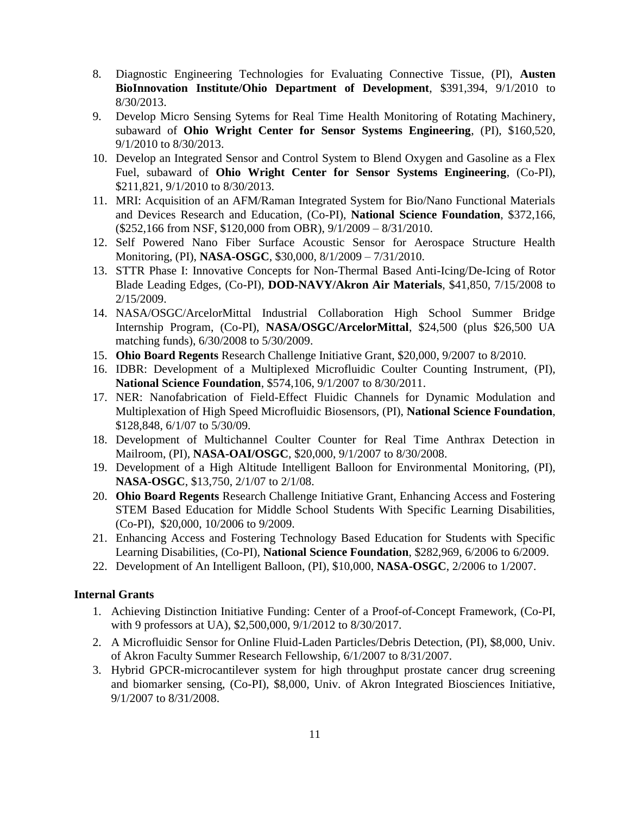- 8. Diagnostic Engineering Technologies for Evaluating Connective Tissue, (PI), **Austen BioInnovation Institute/Ohio Department of Development**, \$391,394, 9/1/2010 to 8/30/2013.
- 9. Develop Micro Sensing Sytems for Real Time Health Monitoring of Rotating Machinery, subaward of **Ohio Wright Center for Sensor Systems Engineering**, (PI), \$160,520, 9/1/2010 to 8/30/2013.
- 10. Develop an Integrated Sensor and Control System to Blend Oxygen and Gasoline as a Flex Fuel, subaward of **Ohio Wright Center for Sensor Systems Engineering**, (Co-PI), \$211,821, 9/1/2010 to 8/30/2013.
- 11. MRI: Acquisition of an AFM/Raman Integrated System for Bio/Nano Functional Materials and Devices Research and Education, (Co-PI), **National Science Foundation**, \$372,166, (\$252,166 from NSF, \$120,000 from OBR), 9/1/2009 – 8/31/2010.
- 12. Self Powered Nano Fiber Surface Acoustic Sensor for Aerospace Structure Health Monitoring, (PI), **NASA-OSGC**, \$30,000, 8/1/2009 – 7/31/2010.
- 13. STTR Phase I: Innovative Concepts for Non-Thermal Based Anti-Icing/De-Icing of Rotor Blade Leading Edges, (Co-PI), **DOD-NAVY/Akron Air Materials**, \$41,850, 7/15/2008 to 2/15/2009.
- 14. NASA/OSGC/ArcelorMittal Industrial Collaboration High School Summer Bridge Internship Program, (Co-PI), **NASA/OSGC/ArcelorMittal**, \$24,500 (plus \$26,500 UA matching funds), 6/30/2008 to 5/30/2009.
- 15. **Ohio Board Regents** Research Challenge Initiative Grant, \$20,000, 9/2007 to 8/2010.
- 16. IDBR: Development of a Multiplexed Microfluidic Coulter Counting Instrument, (PI), **National Science Foundation**, \$574,106, 9/1/2007 to 8/30/2011.
- 17. NER: Nanofabrication of Field-Effect Fluidic Channels for Dynamic Modulation and Multiplexation of High Speed Microfluidic Biosensors, (PI), **National Science Foundation**, \$128,848, 6/1/07 to 5/30/09.
- 18. Development of Multichannel Coulter Counter for Real Time Anthrax Detection in Mailroom, (PI), **NASA-OAI/OSGC**, \$20,000, 9/1/2007 to 8/30/2008.
- 19. Development of a High Altitude Intelligent Balloon for Environmental Monitoring, (PI), **NASA-OSGC**, \$13,750, 2/1/07 to 2/1/08.
- 20. **Ohio Board Regents** Research Challenge Initiative Grant, Enhancing Access and Fostering STEM Based Education for Middle School Students With Specific Learning Disabilities, (Co-PI), \$20,000, 10/2006 to 9/2009.
- 21. Enhancing Access and Fostering Technology Based Education for Students with Specific Learning Disabilities, (Co-PI), **National Science Foundation**, \$282,969, 6/2006 to 6/2009.
- 22. Development of An Intelligent Balloon, (PI), \$10,000, **NASA-OSGC**, 2/2006 to 1/2007.

### **Internal Grants**

- 1. Achieving Distinction Initiative Funding: Center of a Proof-of-Concept Framework, (Co-PI, with 9 professors at UA), \$2,500,000, 9/1/2012 to 8/30/2017.
- 2. A Microfluidic Sensor for Online Fluid-Laden Particles/Debris Detection, (PI), \$8,000, Univ. of Akron Faculty Summer Research Fellowship, 6/1/2007 to 8/31/2007.
- 3. Hybrid GPCR-microcantilever system for high throughput prostate cancer drug screening and biomarker sensing, (Co-PI), \$8,000, Univ. of Akron Integrated Biosciences Initiative, 9/1/2007 to 8/31/2008.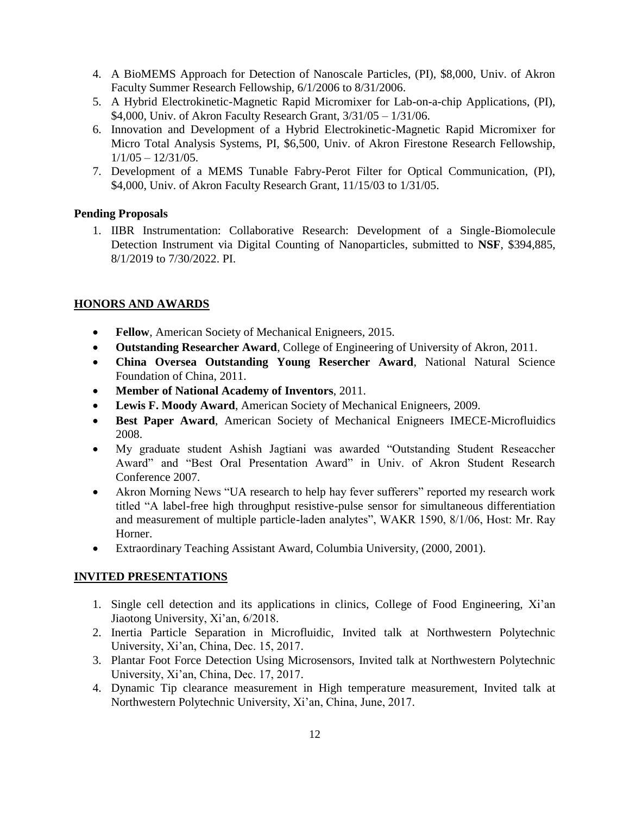- 4. A BioMEMS Approach for Detection of Nanoscale Particles, (PI), \$8,000, Univ. of Akron Faculty Summer Research Fellowship, 6/1/2006 to 8/31/2006.
- 5. A Hybrid Electrokinetic-Magnetic Rapid Micromixer for Lab-on-a-chip Applications, (PI), \$4,000, Univ. of Akron Faculty Research Grant, 3/31/05 – 1/31/06.
- 6. Innovation and Development of a Hybrid Electrokinetic-Magnetic Rapid Micromixer for Micro Total Analysis Systems, PI, \$6,500, Univ. of Akron Firestone Research Fellowship,  $1/1/05 - 12/31/05$ .
- 7. Development of a MEMS Tunable Fabry-Perot Filter for Optical Communication, (PI), \$4,000, Univ. of Akron Faculty Research Grant, 11/15/03 to 1/31/05.

### **Pending Proposals**

1. IIBR Instrumentation: Collaborative Research: Development of a Single-Biomolecule Detection Instrument via Digital Counting of Nanoparticles, submitted to **NSF**, \$394,885, 8/1/2019 to 7/30/2022. PI.

### **HONORS AND AWARDS**

- **Fellow**, American Society of Mechanical Enigneers, 2015.
- **Outstanding Researcher Award**, College of Engineering of University of Akron, 2011.
- **China Oversea Outstanding Young Resercher Award**, National Natural Science Foundation of China, 2011.
- **Member of National Academy of Inventors**, 2011.
- **Lewis F. Moody Award**, American Society of Mechanical Enigneers, 2009.
- **Best Paper Award**, American Society of Mechanical Enigneers IMECE-Microfluidics 2008.
- My graduate student Ashish Jagtiani was awarded "Outstanding Student Reseaccher Award" and "Best Oral Presentation Award" in Univ. of Akron Student Research Conference 2007.
- Akron Morning News "UA research to help hay fever sufferers" reported my research work titled "A label-free high throughput resistive-pulse sensor for simultaneous differentiation and measurement of multiple particle-laden analytes", WAKR 1590, 8/1/06, Host: Mr. Ray Horner.
- Extraordinary Teaching Assistant Award, Columbia University, (2000, 2001).

### **INVITED PRESENTATIONS**

- 1. Single cell detection and its applications in clinics, College of Food Engineering, Xi'an Jiaotong University, Xi'an, 6/2018.
- 2. Inertia Particle Separation in Microfluidic, Invited talk at Northwestern Polytechnic University, Xi'an, China, Dec. 15, 2017.
- 3. Plantar Foot Force Detection Using Microsensors, Invited talk at Northwestern Polytechnic University, Xi'an, China, Dec. 17, 2017.
- 4. Dynamic Tip clearance measurement in High temperature measurement, Invited talk at Northwestern Polytechnic University, Xi'an, China, June, 2017.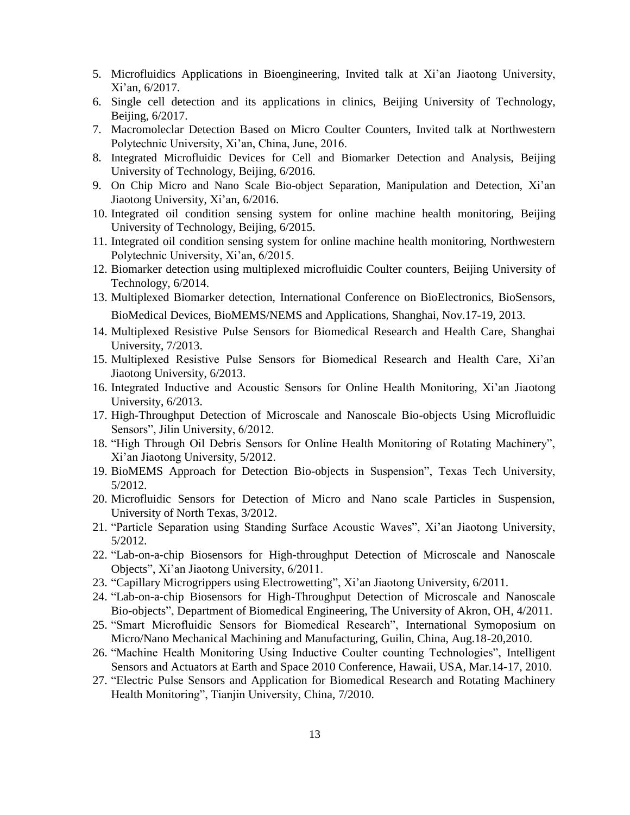- 5. Microfluidics Applications in Bioengineering, Invited talk at Xi'an Jiaotong University, Xi'an, 6/2017.
- 6. Single cell detection and its applications in clinics, Beijing University of Technology, Beijing, 6/2017.
- 7. Macromoleclar Detection Based on Micro Coulter Counters, Invited talk at Northwestern Polytechnic University, Xi'an, China, June, 2016.
- 8. Integrated Microfluidic Devices for Cell and Biomarker Detection and Analysis, Beijing University of Technology, Beijing, 6/2016.
- 9. On Chip Micro and Nano Scale Bio-object Separation, Manipulation and Detection, Xi'an Jiaotong University, Xi'an, 6/2016.
- 10. Integrated oil condition sensing system for online machine health monitoring, Beijing University of Technology, Beijing, 6/2015.
- 11. Integrated oil condition sensing system for online machine health monitoring, Northwestern Polytechnic University, Xi'an, 6/2015.
- 12. Biomarker detection using multiplexed microfluidic Coulter counters, Beijing University of Technology, 6/2014.
- 13. Multiplexed Biomarker detection, International Conference on BioElectronics, BioSensors, BioMedical Devices, BioMEMS/NEMS and Applications, Shanghai, Nov.17-19, 2013.
- 14. Multiplexed Resistive Pulse Sensors for Biomedical Research and Health Care, Shanghai University, 7/2013.
- 15. Multiplexed Resistive Pulse Sensors for Biomedical Research and Health Care, Xi'an Jiaotong University, 6/2013.
- 16. Integrated Inductive and Acoustic Sensors for Online Health Monitoring, Xi'an Jiaotong University, 6/2013.
- 17. High-Throughput Detection of Microscale and Nanoscale Bio-objects Using Microfluidic Sensors", Jilin University, 6/2012.
- 18. "High Through Oil Debris Sensors for Online Health Monitoring of Rotating Machinery", Xi'an Jiaotong University, 5/2012.
- 19. BioMEMS Approach for Detection Bio-objects in Suspension", Texas Tech University, 5/2012.
- 20. Microfluidic Sensors for Detection of Micro and Nano scale Particles in Suspension, University of North Texas, 3/2012.
- 21. "Particle Separation using Standing Surface Acoustic Waves", Xi'an Jiaotong University, 5/2012.
- 22. "Lab-on-a-chip Biosensors for High-throughput Detection of Microscale and Nanoscale Objects", Xi'an Jiaotong University, 6/2011.
- 23. "Capillary Microgrippers using Electrowetting", Xi'an Jiaotong University, 6/2011.
- 24. "Lab-on-a-chip Biosensors for High-Throughput Detection of Microscale and Nanoscale Bio-objects", Department of Biomedical Engineering, The University of Akron, OH, 4/2011.
- 25. "Smart Microfluidic Sensors for Biomedical Research", International Symoposium on Micro/Nano Mechanical Machining and Manufacturing, Guilin, China, Aug.18-20,2010.
- 26. "Machine Health Monitoring Using Inductive Coulter counting Technologies", Intelligent Sensors and Actuators at Earth and Space 2010 Conference, Hawaii, USA, Mar.14-17, 2010.
- 27. "Electric Pulse Sensors and Application for Biomedical Research and Rotating Machinery Health Monitoring", Tianjin University, China, 7/2010.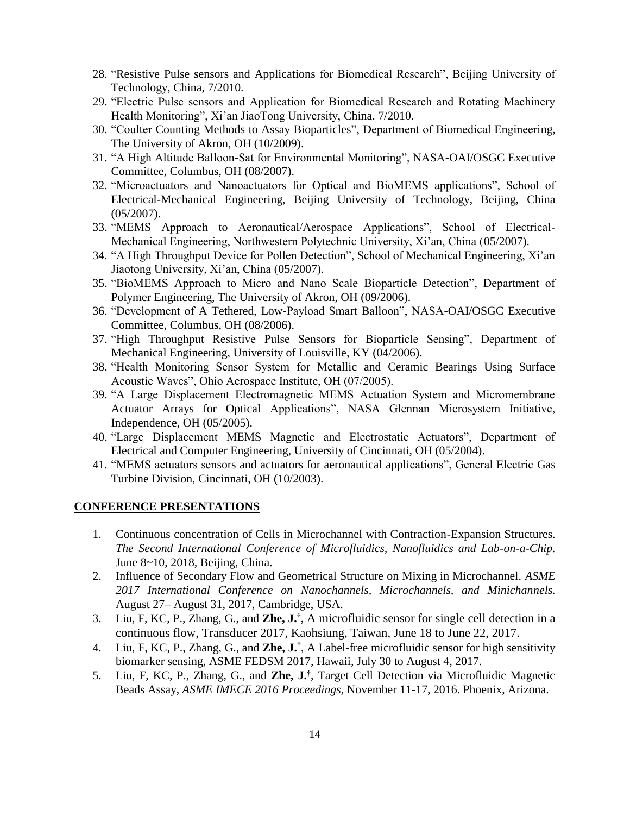- 28. "Resistive Pulse sensors and Applications for Biomedical Research", Beijing University of Technology, China, 7/2010.
- 29. "Electric Pulse sensors and Application for Biomedical Research and Rotating Machinery Health Monitoring", Xi'an JiaoTong University, China. 7/2010.
- 30. "Coulter Counting Methods to Assay Bioparticles", Department of Biomedical Engineering, The University of Akron, OH (10/2009).
- 31. "A High Altitude Balloon-Sat for Environmental Monitoring", NASA-OAI/OSGC Executive Committee, Columbus, OH (08/2007).
- 32. "Microactuators and Nanoactuators for Optical and BioMEMS applications", School of Electrical-Mechanical Engineering, Beijing University of Technology, Beijing, China (05/2007).
- 33. "MEMS Approach to Aeronautical/Aerospace Applications", School of Electrical-Mechanical Engineering, Northwestern Polytechnic University, Xi'an, China (05/2007).
- 34. "A High Throughput Device for Pollen Detection", School of Mechanical Engineering, Xi'an Jiaotong University, Xi'an, China (05/2007).
- 35. "BioMEMS Approach to Micro and Nano Scale Bioparticle Detection", Department of Polymer Engineering, The University of Akron, OH (09/2006).
- 36. "Development of A Tethered, Low-Payload Smart Balloon", NASA-OAI/OSGC Executive Committee, Columbus, OH (08/2006).
- 37. "High Throughput Resistive Pulse Sensors for Bioparticle Sensing", Department of Mechanical Engineering, University of Louisville, KY (04/2006).
- 38. "Health Monitoring Sensor System for Metallic and Ceramic Bearings Using Surface Acoustic Waves", Ohio Aerospace Institute, OH (07/2005).
- 39. "A Large Displacement Electromagnetic MEMS Actuation System and Micromembrane Actuator Arrays for Optical Applications", NASA Glennan Microsystem Initiative, Independence, OH (05/2005).
- 40. "Large Displacement MEMS Magnetic and Electrostatic Actuators", Department of Electrical and Computer Engineering, University of Cincinnati, OH (05/2004).
- 41. "MEMS actuators sensors and actuators for aeronautical applications", General Electric Gas Turbine Division, Cincinnati, OH (10/2003).

#### **CONFERENCE PRESENTATIONS**

- 1. Continuous concentration of Cells in Microchannel with Contraction-Expansion Structures. *The Second International Conference of Microfluidics, Nanofluidics and Lab-on-a-Chip.* June 8~10, 2018, Beijing, China.
- 2. Influence of Secondary Flow and Geometrical Structure on Mixing in Microchannel. *ASME 2017 International Conference on Nanochannels, Microchannels, and Minichannels.* August 27– August 31, 2017, Cambridge, USA.
- 3. Liu, F, KC, P., Zhang, G., and **Zhe, J.†** , A microfluidic sensor for single cell detection in a continuous flow, Transducer 2017, Kaohsiung, Taiwan, June 18 to June 22, 2017.
- 4. Liu, F, KC, P., Zhang, G., and **Zhe, J.†** , A Label-free microfluidic sensor for high sensitivity biomarker sensing, ASME FEDSM 2017, Hawaii, July 30 to August 4, 2017.
- 5. Liu, F, KC, P., Zhang, G., and **Zhe, J.†** , Target Cell Detection via Microfluidic Magnetic Beads Assay, *ASME IMECE 2016 Proceedings*, November 11-17, 2016. Phoenix, Arizona.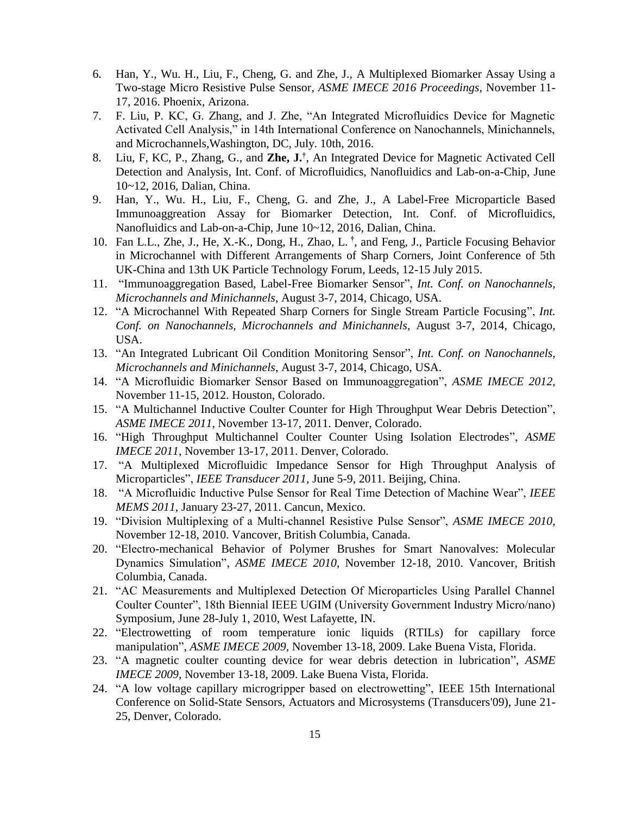- 6. Han, Y., Wu. H., Liu, F., Cheng, G. and Zhe, J., A Multiplexed Biomarker Assay Using a Two-stage Micro Resistive Pulse Sensor, *ASME IMECE 2016 Proceedings*, November 11- 17, 2016. Phoenix, Arizona.
- 7. F. Liu, P. KC, G. Zhang, and J. Zhe, "An Integrated Microfluidics Device for Magnetic Activated Cell Analysis," in 14th International Conference on Nanochannels, Minichannels, and Microchannels,Washington, DC, July. 10th, 2016.
- 8. Liu, F, KC, P., Zhang, G., and **Zhe, J.†** , An Integrated Device for Magnetic Activated Cell Detection and Analysis, Int. Conf. of Microfluidics, Nanofluidics and Lab-on-a-Chip, June 10~12, 2016, Dalian, China.
- 9. Han, Y., Wu. H., Liu, F., Cheng, G. and Zhe, J., A Label-Free Microparticle Based Immunoaggreation Assay for Biomarker Detection, Int. Conf. of Microfluidics, Nanofluidics and Lab-on-a-Chip, June 10~12, 2016, Dalian, China.
- 10. Fan L.L., Zhe, J., He, X.-K., Dong, H., Zhao, L. **†** , and Feng, J., Particle Focusing Behavior in Microchannel with Different Arrangements of Sharp Corners, Joint Conference of 5th UK-China and 13th UK Particle Technology Forum, Leeds, 12-15 July 2015.
- 11. "Immunoaggregation Based, Label-Free Biomarker Sensor", *Int. Conf. on Nanochannels, Microchannels and Minichannels*, August 3-7, 2014, Chicago, USA.
- 12. "A Microchannel With Repeated Sharp Corners for Single Stream Particle Focusing", *Int. Conf. on Nanochannels, Microchannels and Minichannels*, August 3-7, 2014, Chicago, USA.
- 13. "An Integrated Lubricant Oil Condition Monitoring Sensor", *Int. Conf. on Nanochannels, Microchannels and Minichannels*, August 3-7, 2014, Chicago, USA.
- 14. "A Microfluidic Biomarker Sensor Based on Immunoaggregation", *ASME IMECE 2012*, November 11-15, 2012. Houston, Colorado.
- 15. "A Multichannel Inductive Coulter Counter for High Throughput Wear Debris Detection", *ASME IMECE 2011*, November 13-17, 2011. Denver, Colorado.
- 16. "High Throughput Multichannel Coulter Counter Using Isolation Electrodes", *ASME IMECE 2011*, November 13-17, 2011. Denver, Colorado.
- 17. "A Multiplexed Microfluidic Impedance Sensor for High Throughput Analysis of Microparticles", *IEEE Transducer 2011*, June 5-9, 2011. Beijing, China.
- 18. "A Microfluidic Inductive Pulse Sensor for Real Time Detection of Machine Wear", *IEEE MEMS 2011,* January 23-27, 2011. Cancun, Mexico.
- 19. "Division Multiplexing of a Multi-channel Resistive Pulse Sensor", *ASME IMECE 2010*, November 12-18, 2010. Vancover, British Columbia, Canada.
- 20. "Electro-mechanical Behavior of Polymer Brushes for Smart Nanovalves: Molecular Dynamics Simulation", *ASME IMECE 2010*, November 12-18, 2010. Vancover, British Columbia, Canada.
- 21. "AC Measurements and Multiplexed Detection Of Microparticles Using Parallel Channel Coulter Counter", 18th Biennial IEEE UGIM (University Government Industry Micro/nano) Symposium, June 28-July 1, 2010, West Lafayette, IN.
- 22. "Electrowetting of room temperature ionic liquids (RTILs) for capillary force manipulation", *ASME IMECE 2009*, November 13-18, 2009. Lake Buena Vista, Florida.
- 23. "A magnetic coulter counting device for wear debris detection in lubrication", *ASME IMECE 2009*, November 13-18, 2009. Lake Buena Vista, Florida.
- 24. "A low voltage capillary microgripper based on electrowetting", IEEE 15th International Conference on Solid-State Sensors, Actuators and Microsystems (Transducers'09), June 21- 25, Denver, Colorado.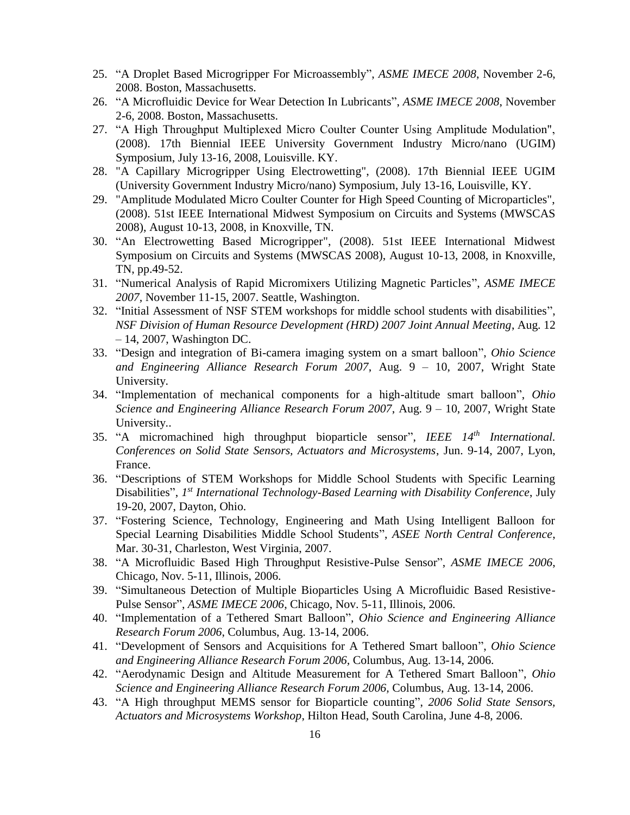- 25. "A Droplet Based Microgripper For Microassembly", *ASME IMECE 2008*, November 2-6, 2008. Boston, Massachusetts.
- 26. "A Microfluidic Device for Wear Detection In Lubricants", *ASME IMECE 2008*, November 2-6, 2008. Boston, Massachusetts.
- 27. "A High Throughput Multiplexed Micro Coulter Counter Using Amplitude Modulation", (2008). 17th Biennial IEEE University Government Industry Micro/nano (UGIM) Symposium, July 13-16, 2008, Louisville. KY.
- 28. "A Capillary Microgripper Using Electrowetting", (2008). 17th Biennial IEEE UGIM (University Government Industry Micro/nano) Symposium, July 13-16, Louisville, KY.
- 29. "Amplitude Modulated Micro Coulter Counter for High Speed Counting of Microparticles", (2008). 51st IEEE International Midwest Symposium on Circuits and Systems (MWSCAS 2008), August 10-13, 2008, in Knoxville, TN.
- 30. "An Electrowetting Based Microgripper", (2008). 51st IEEE International Midwest Symposium on Circuits and Systems (MWSCAS 2008), August 10-13, 2008, in Knoxville, TN, pp.49-52.
- 31. "Numerical Analysis of Rapid Micromixers Utilizing Magnetic Particles", *ASME IMECE 2007,* November 11-15, 2007. Seattle, Washington.
- 32. "Initial Assessment of NSF STEM workshops for middle school students with disabilities", *NSF Division of Human Resource Development (HRD) 2007 Joint Annual Meeting*, Aug. 12 – 14, 2007, Washington DC.
- 33. "Design and integration of Bi-camera imaging system on a smart balloon", *Ohio Science and Engineering Alliance Research Forum 2007*, Aug. 9 – 10, 2007, Wright State University.
- 34. "Implementation of mechanical components for a high-altitude smart balloon", *Ohio Science and Engineering Alliance Research Forum 2007*, Aug. 9 – 10, 2007, Wright State University..
- 35. "A micromachined high throughput bioparticle sensor", *IEEE 14th International. Conferences on Solid State Sensors, Actuators and Microsystems*, Jun. 9-14, 2007, Lyon, France.
- 36. "Descriptions of STEM Workshops for Middle School Students with Specific Learning Disabilities", 1<sup>st</sup> International Technology-Based Learning with Disability Conference, July 19-20, 2007, Dayton, Ohio.
- 37. "Fostering Science, Technology, Engineering and Math Using Intelligent Balloon for Special Learning Disabilities Middle School Students", *ASEE North Central Conference*, Mar. 30-31, Charleston, West Virginia, 2007.
- 38. "A Microfluidic Based High Throughput Resistive-Pulse Sensor", *ASME IMECE 2006*, Chicago, Nov. 5-11, Illinois, 2006.
- 39. "Simultaneous Detection of Multiple Bioparticles Using A Microfluidic Based Resistive-Pulse Sensor", *ASME IMECE 2006*, Chicago, Nov. 5-11, Illinois, 2006.
- 40. "Implementation of a Tethered Smart Balloon", *Ohio Science and Engineering Alliance Research Forum 2006*, Columbus, Aug. 13-14, 2006.
- 41. "Development of Sensors and Acquisitions for A Tethered Smart balloon", *Ohio Science and Engineering Alliance Research Forum 2006,* Columbus, Aug. 13-14, 2006.
- 42. "Aerodynamic Design and Altitude Measurement for A Tethered Smart Balloon", *Ohio Science and Engineering Alliance Research Forum 2006,* Columbus, Aug. 13-14, 2006.
- 43. "A High throughput MEMS sensor for Bioparticle counting", *2006 Solid State Sensors, Actuators and Microsystems Workshop*, Hilton Head, South Carolina, June 4-8, 2006.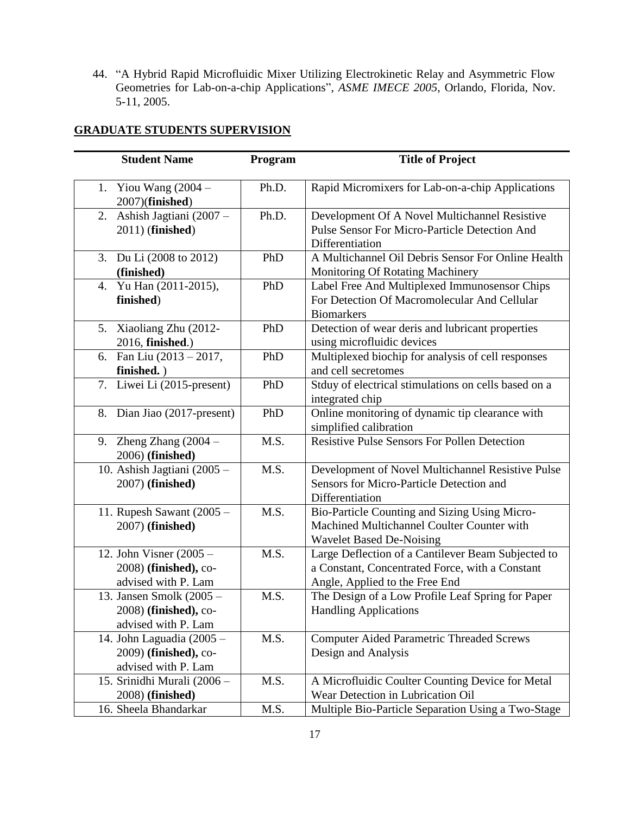44. "A Hybrid Rapid Microfluidic Mixer Utilizing Electrokinetic Relay and Asymmetric Flow Geometries for Lab-on-a-chip Applications", *ASME IMECE 2005*, Orlando, Florida, Nov. 5-11, 2005.

### **GRADUATE STUDENTS SUPERVISION**

| <b>Student Name</b>                               | Program | <b>Title of Project</b>                                                                        |
|---------------------------------------------------|---------|------------------------------------------------------------------------------------------------|
| 1. Yiou Wang $(2004 -$<br>2007)(finished)         | Ph.D.   | Rapid Micromixers for Lab-on-a-chip Applications                                               |
| Ashish Jagtiani (2007 -<br>2.<br>2011) (finished) | Ph.D.   | Development Of A Novel Multichannel Resistive<br>Pulse Sensor For Micro-Particle Detection And |
|                                                   |         | Differentiation                                                                                |
| 3. Du Li (2008 to 2012)                           | PhD     | A Multichannel Oil Debris Sensor For Online Health                                             |
| (finished)                                        |         | Monitoring Of Rotating Machinery                                                               |
| Yu Han (2011-2015),<br>4.                         | PhD     | Label Free And Multiplexed Immunosensor Chips                                                  |
| finished)                                         |         | For Detection Of Macromolecular And Cellular                                                   |
|                                                   |         | <b>Biomarkers</b>                                                                              |
| Xiaoliang Zhu (2012-<br>5.                        | PhD     | Detection of wear deris and lubricant properties                                               |
| 2016, finished.)                                  |         | using microfluidic devices                                                                     |
| Fan Liu $(2013 - 2017,$<br>6.                     | PhD     | Multiplexed biochip for analysis of cell responses                                             |
| finished.)                                        |         | and cell secretomes                                                                            |
| 7. Liwei Li (2015-present)                        | PhD     | Stduy of electrical stimulations on cells based on a                                           |
|                                                   |         | integrated chip                                                                                |
| 8. Dian Jiao (2017-present)                       | PhD     | Online monitoring of dynamic tip clearance with<br>simplified calibration                      |
| 9. Zheng Zhang $(2004 -$                          | M.S.    | <b>Resistive Pulse Sensors For Pollen Detection</b>                                            |
| 2006) (finished)                                  |         |                                                                                                |
| 10. Ashish Jagtiani (2005 -                       | M.S.    | Development of Novel Multichannel Resistive Pulse                                              |
| 2007) (finished)                                  |         | Sensors for Micro-Particle Detection and                                                       |
|                                                   |         | Differentiation                                                                                |
| 11. Rupesh Sawant (2005 -                         | M.S.    | Bio-Particle Counting and Sizing Using Micro-                                                  |
| 2007) (finished)                                  |         | Machined Multichannel Coulter Counter with                                                     |
|                                                   |         | <b>Wavelet Based De-Noising</b>                                                                |
| 12. John Visner $(2005 -$                         | M.S.    | Large Deflection of a Cantilever Beam Subjected to                                             |
| 2008) (finished), co-                             |         | a Constant, Concentrated Force, with a Constant                                                |
| advised with P. Lam                               |         | Angle, Applied to the Free End                                                                 |
| 13. Jansen Smolk (2005 -                          | M.S.    | The Design of a Low Profile Leaf Spring for Paper                                              |
| 2008) (finished), co-                             |         | <b>Handling Applications</b>                                                                   |
| advised with P. Lam                               |         |                                                                                                |
| 14. John Laguadia (2005 -                         | M.S.    | <b>Computer Aided Parametric Threaded Screws</b>                                               |
| 2009) (finished), co-                             |         | Design and Analysis                                                                            |
| advised with P. Lam                               |         |                                                                                                |
| 15. Srinidhi Murali (2006 -                       | M.S.    | A Microfluidic Coulter Counting Device for Metal                                               |
| 2008) (finished)                                  |         | Wear Detection in Lubrication Oil                                                              |
| 16. Sheela Bhandarkar                             | M.S.    | Multiple Bio-Particle Separation Using a Two-Stage                                             |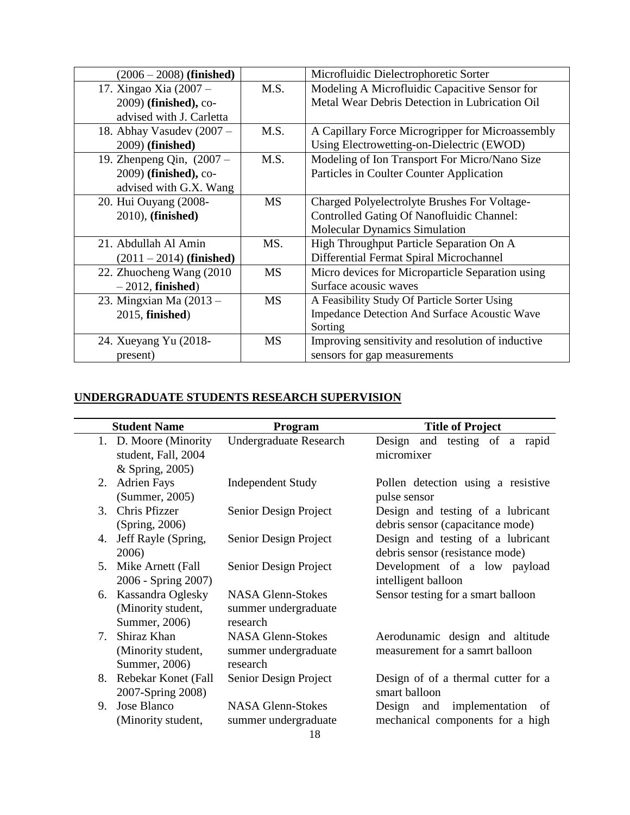| $(2006 - 2008)$ (finished)  |           | Microfluidic Dielectrophoretic Sorter             |
|-----------------------------|-----------|---------------------------------------------------|
| 17. Xingao Xia (2007 –      | M.S.      | Modeling A Microfluidic Capacitive Sensor for     |
| 2009) (finished), co-       |           | Metal Wear Debris Detection in Lubrication Oil    |
| advised with J. Carletta    |           |                                                   |
| 18. Abhay Vasudev (2007 -   | M.S.      | A Capillary Force Microgripper for Microassembly  |
| 2009) (finished)            |           | Using Electrowetting-on-Dielectric (EWOD)         |
| 19. Zhenpeng Qin, $(2007 -$ | M.S.      | Modeling of Ion Transport For Micro/Nano Size     |
| 2009) (finished), co-       |           | Particles in Coulter Counter Application          |
| advised with G.X. Wang      |           |                                                   |
| 20. Hui Ouyang (2008-       | <b>MS</b> | Charged Polyelectrolyte Brushes For Voltage-      |
| 2010), (finished)           |           | <b>Controlled Gating Of Nanofluidic Channel:</b>  |
|                             |           | <b>Molecular Dynamics Simulation</b>              |
| 21. Abdullah Al Amin        | MS.       | High Throughput Particle Separation On A          |
| $(2011 – 2014)$ (finished)  |           | Differential Fermat Spiral Microchannel           |
| 22. Zhuocheng Wang (2010)   | <b>MS</b> | Micro devices for Microparticle Separation using  |
| $-2012$ , finished)         |           | Surface acousic waves                             |
| 23. Mingxian Ma (2013 –     | MS        | A Feasibility Study Of Particle Sorter Using      |
| 2015, finished)             |           | Impedance Detection And Surface Acoustic Wave     |
|                             |           | Sorting                                           |
| 24. Xueyang Yu (2018-       | MS        | Improving sensitivity and resolution of inductive |
| present)                    |           | sensors for gap measurements                      |

### **UNDERGRADUATE STUDENTS RESEARCH SUPERVISION**

|    | <b>Student Name</b>                                             | Program                                                      | <b>Title of Project</b>                                                           |  |  |  |
|----|-----------------------------------------------------------------|--------------------------------------------------------------|-----------------------------------------------------------------------------------|--|--|--|
|    | 1. D. Moore (Minority<br>student, Fall, 2004<br>& Spring, 2005) | <b>Undergraduate Research</b>                                | testing of a rapid<br>Design and<br>micromixer                                    |  |  |  |
| 2. | <b>Adrien Fays</b><br>(Summer, 2005)                            | <b>Independent Study</b>                                     | Pollen detection using a resistive<br>pulse sensor                                |  |  |  |
| 3. | Chris Pfizzer<br>(Spring, 2006)                                 | Senior Design Project                                        | Design and testing of a lubricant<br>debris sensor (capacitance mode)             |  |  |  |
| 4. | Jeff Rayle (Spring,<br>2006)                                    | Senior Design Project                                        | Design and testing of a lubricant<br>debris sensor (resistance mode)              |  |  |  |
| 5. | Mike Arnett (Fall<br>2006 - Spring 2007)                        | Senior Design Project                                        | Development of a low payload<br>intelligent balloon                               |  |  |  |
| 6. | Kassandra Oglesky<br>(Minority student,<br>Summer, 2006)        | <b>NASA Glenn-Stokes</b><br>summer undergraduate<br>research | Sensor testing for a smart balloon                                                |  |  |  |
| 7. | Shiraz Khan<br>(Minority student,<br>Summer, 2006)              | <b>NASA Glenn-Stokes</b><br>summer undergraduate<br>research | Aerodunamic design and altitude<br>measurement for a samrt balloon                |  |  |  |
| 8. | Rebekar Konet (Fall<br>2007-Spring 2008)                        | Senior Design Project                                        | Design of of a thermal cutter for a<br>smart balloon                              |  |  |  |
| 9. | Jose Blanco<br>(Minority student,                               | <b>NASA Glenn-Stokes</b><br>summer undergraduate             | implementation<br>Design and<br><sub>of</sub><br>mechanical components for a high |  |  |  |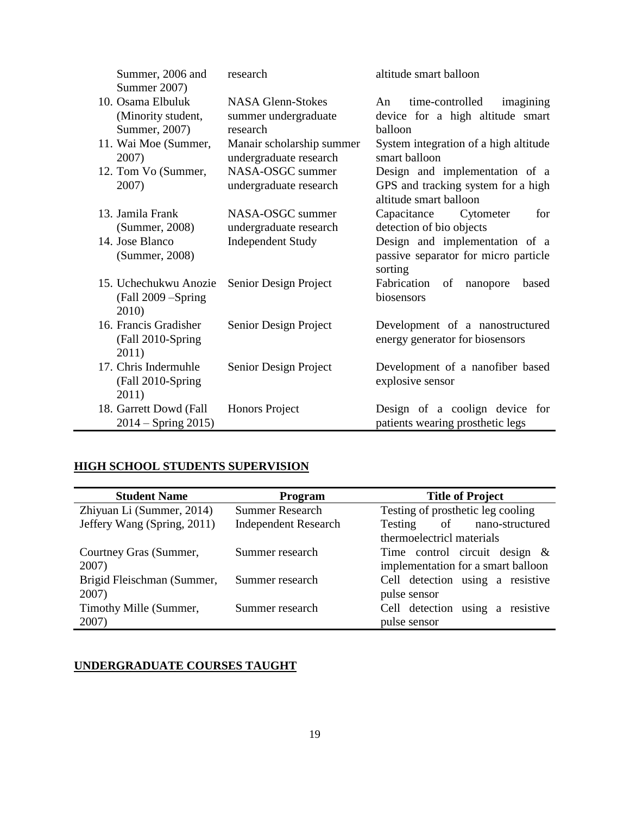| Summer, 2006 and<br>Summer 2007)                         | research                                                     | altitude smart balloon                                                                         |  |  |
|----------------------------------------------------------|--------------------------------------------------------------|------------------------------------------------------------------------------------------------|--|--|
| 10. Osama Elbuluk<br>(Minority student,<br>Summer, 2007) | <b>NASA Glenn-Stokes</b><br>summer undergraduate<br>research | time-controlled<br>imagining<br>An<br>device for a high altitude smart<br>balloon              |  |  |
| 11. Wai Moe (Summer,<br>2007)                            | Manair scholarship summer<br>undergraduate research          | System integration of a high altitude<br>smart balloon                                         |  |  |
| 12. Tom Vo (Summer,<br>2007)                             | NASA-OSGC summer<br>undergraduate research                   | Design and implementation of a<br>GPS and tracking system for a high<br>altitude smart balloon |  |  |
| 13. Jamila Frank<br>(Summer, 2008)                       | NASA-OSGC summer<br>undergraduate research                   | Capacitance<br>Cytometer<br>for<br>detection of bio objects                                    |  |  |
| 14. Jose Blanco<br>(Summer, 2008)                        | <b>Independent Study</b>                                     | Design and implementation of a<br>passive separator for micro particle<br>sorting              |  |  |
| 15. Uchechukwu Anozie<br>(Fall 2009 – Spring<br>2010)    | Senior Design Project                                        | Fabrication of<br>based<br>nanopore<br>biosensors                                              |  |  |
| 16. Francis Gradisher<br>(Fall 2010-Spring<br>2011)      | Senior Design Project                                        | Development of a nanostructured<br>energy generator for biosensors                             |  |  |
| 17. Chris Indermuhle<br>(Fall 2010-Spring<br>2011)       | Senior Design Project                                        | Development of a nanofiber based<br>explosive sensor                                           |  |  |
| 18. Garrett Dowd (Fall<br>$2014 -$ Spring 2015)          | Honors Project                                               | Design of a coolign device for<br>patients wearing prosthetic legs                             |  |  |

# **HIGH SCHOOL STUDENTS SUPERVISION**

| <b>Student Name</b>         | Program                     | <b>Title of Project</b>             |  |  |
|-----------------------------|-----------------------------|-------------------------------------|--|--|
| Zhiyuan Li (Summer, 2014)   | <b>Summer Research</b>      | Testing of prosthetic leg cooling   |  |  |
| Jeffery Wang (Spring, 2011) | <b>Independent Research</b> | of nano-structured<br>Testing       |  |  |
|                             |                             | thermoelectricl materials           |  |  |
| Courtney Gras (Summer,      | Summer research             | Time control circuit design $\&$    |  |  |
| 2007)                       |                             | implementation for a smart balloon  |  |  |
| Brigid Fleischman (Summer,  | Summer research             | Cell detection using a resistive    |  |  |
| 2007)                       |                             | pulse sensor                        |  |  |
| Timothy Mille (Summer,      | Summer research             | using a resistive<br>Cell detection |  |  |
| 2007)                       |                             | pulse sensor                        |  |  |

# **UNDERGRADUATE COURSES TAUGHT**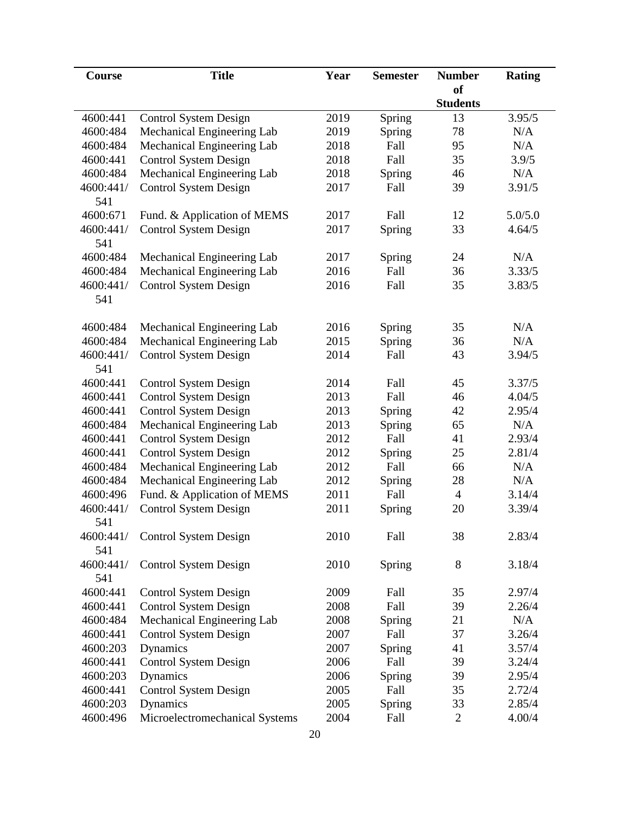| Course           | <b>Title</b>                   | Year | <b>Semester</b> | <b>Number</b>   | <b>Rating</b> |
|------------------|--------------------------------|------|-----------------|-----------------|---------------|
|                  |                                |      |                 | of              |               |
|                  |                                |      |                 | <b>Students</b> |               |
| 4600:441         | <b>Control System Design</b>   | 2019 | Spring          | 13              | 3.95/5        |
| 4600:484         | Mechanical Engineering Lab     | 2019 | Spring          | 78              | N/A           |
| 4600:484         | Mechanical Engineering Lab     | 2018 | Fall            | 95              | N/A           |
| 4600:441         | <b>Control System Design</b>   | 2018 | Fall            | 35              | 3.9/5         |
| 4600:484         | Mechanical Engineering Lab     | 2018 | Spring          | 46              | N/A           |
| 4600:441/<br>541 | <b>Control System Design</b>   | 2017 | Fall            | 39              | 3.91/5        |
| 4600:671         | Fund. & Application of MEMS    | 2017 | Fall            | 12              | 5.0/5.0       |
| 4600:441/<br>541 | <b>Control System Design</b>   | 2017 | Spring          | 33              | 4.64/5        |
| 4600:484         | Mechanical Engineering Lab     | 2017 | Spring          | 24              | N/A           |
| 4600:484         | Mechanical Engineering Lab     | 2016 | Fall            | 36              | 3.33/5        |
| 4600:441/        | <b>Control System Design</b>   | 2016 | Fall            | 35              | 3.83/5        |
| 541              |                                |      |                 |                 |               |
| 4600:484         | Mechanical Engineering Lab     | 2016 | Spring          | 35              | N/A           |
| 4600:484         | Mechanical Engineering Lab     | 2015 | Spring          | 36              | N/A           |
| 4600:441/<br>541 | <b>Control System Design</b>   | 2014 | Fall            | 43              | 3.94/5        |
| 4600:441         | <b>Control System Design</b>   | 2014 | Fall            | 45              | 3.37/5        |
| 4600:441         | <b>Control System Design</b>   | 2013 | Fall            | 46              | 4.04/5        |
| 4600:441         | <b>Control System Design</b>   | 2013 | Spring          | 42              | 2.95/4        |
| 4600:484         | Mechanical Engineering Lab     | 2013 | Spring          | 65              | N/A           |
| 4600:441         | <b>Control System Design</b>   | 2012 | Fall            | 41              | 2.93/4        |
| 4600:441         | <b>Control System Design</b>   | 2012 | Spring          | 25              | 2.81/4        |
| 4600:484         | Mechanical Engineering Lab     | 2012 | Fall            | 66              | N/A           |
| 4600:484         | Mechanical Engineering Lab     | 2012 | Spring          | 28              | N/A           |
| 4600:496         | Fund. & Application of MEMS    | 2011 | Fall            | $\overline{4}$  | 3.14/4        |
| 4600:441/        | <b>Control System Design</b>   | 2011 | Spring          | 20              | 3.39/4        |
| 541              |                                |      |                 |                 |               |
| 4600:441/        | <b>Control System Design</b>   | 2010 | Fall            | 38              | 2.83/4        |
| 541              |                                |      |                 |                 |               |
| 4600:441/        | <b>Control System Design</b>   | 2010 | Spring          | 8               | 3.18/4        |
| 541              |                                |      |                 |                 |               |
| 4600:441         | <b>Control System Design</b>   | 2009 | Fall            | 35              | 2.97/4        |
| 4600:441         | <b>Control System Design</b>   | 2008 | Fall            | 39              | 2.26/4        |
| 4600:484         | Mechanical Engineering Lab     | 2008 | Spring          | 21              | N/A           |
| 4600:441         | <b>Control System Design</b>   | 2007 | Fall            | 37              | 3.26/4        |
| 4600:203         | Dynamics                       | 2007 | Spring          | 41              | 3.57/4        |
| 4600:441         | <b>Control System Design</b>   | 2006 | Fall            | 39              | 3.24/4        |
| 4600:203         | Dynamics                       | 2006 | Spring          | 39              | 2.95/4        |
| 4600:441         | <b>Control System Design</b>   | 2005 | Fall            | 35              | 2.72/4        |
| 4600:203         | Dynamics                       | 2005 | Spring          | 33              | 2.85/4        |
| 4600:496         | Microelectromechanical Systems | 2004 | Fall            | $\overline{2}$  | 4.00/4        |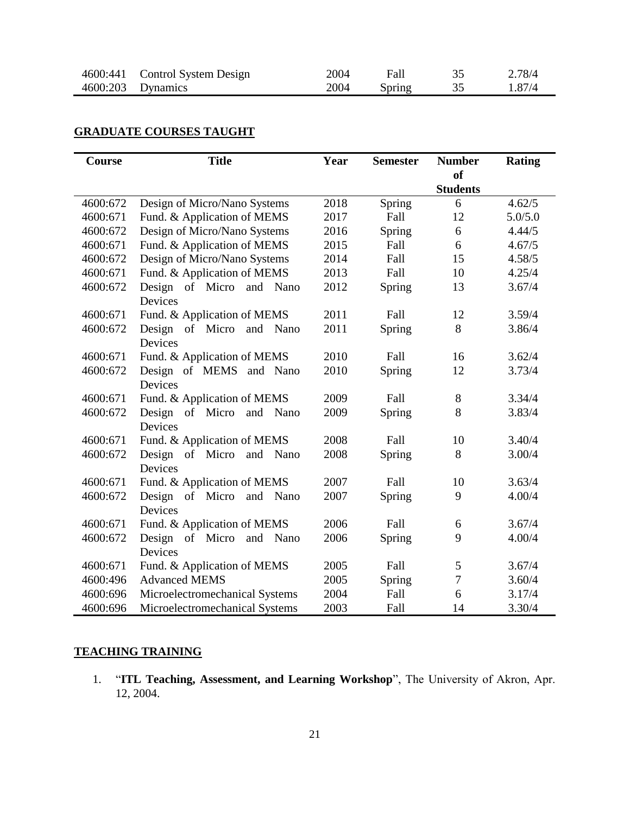| 4600:441 Control System Design | 2004 | Fall   | ر   | 2.78/4 |
|--------------------------------|------|--------|-----|--------|
| 4600:203 Dynamics              | 2004 | Spring | ۔ ب | 1.87/4 |

## **GRADUATE COURSES TAUGHT**

| Course   | <b>Title</b>                      | Year | <b>Semester</b> | <b>Number</b>   | <b>Rating</b> |
|----------|-----------------------------------|------|-----------------|-----------------|---------------|
|          |                                   |      |                 | <b>of</b>       |               |
|          |                                   |      |                 | <b>Students</b> |               |
| 4600:672 | Design of Micro/Nano Systems      | 2018 | Spring          | 6               | 4.62/5        |
| 4600:671 | Fund. & Application of MEMS       | 2017 | Fall            | 12              | 5.0/5.0       |
| 4600:672 | Design of Micro/Nano Systems      | 2016 | Spring          | 6               | 4.44/5        |
| 4600:671 | Fund. & Application of MEMS       | 2015 | Fall            | 6               | 4.67/5        |
| 4600:672 | Design of Micro/Nano Systems      | 2014 | Fall            | 15              | 4.58/5        |
| 4600:671 | Fund. & Application of MEMS       | 2013 | Fall            | 10              | 4.25/4        |
| 4600:672 | Design of Micro<br>and<br>Nano    | 2012 | Spring          | 13              | 3.67/4        |
|          | Devices                           |      |                 |                 |               |
| 4600:671 | Fund. & Application of MEMS       | 2011 | Fall            | 12              | 3.59/4        |
| 4600:672 | Design of Micro and<br>Nano       | 2011 | Spring          | 8               | 3.86/4        |
|          | Devices                           |      |                 |                 |               |
| 4600:671 | Fund. & Application of MEMS       | 2010 | Fall            | 16              | 3.62/4        |
| 4600:672 | Design of MEMS and Nano           | 2010 | Spring          | 12              | 3.73/4        |
|          | Devices                           |      |                 |                 |               |
| 4600:671 | Fund. & Application of MEMS       | 2009 | Fall            | 8               | 3.34/4        |
| 4600:672 | Design<br>of Micro<br>and<br>Nano | 2009 | Spring          | 8               | 3.83/4        |
|          | Devices                           |      |                 |                 |               |
| 4600:671 | Fund. & Application of MEMS       | 2008 | Fall            | 10              | 3.40/4        |
| 4600:672 | Design of Micro and<br>Nano       | 2008 | Spring          | 8               | 3.00/4        |
|          | Devices                           |      |                 |                 |               |
| 4600:671 | Fund. & Application of MEMS       | 2007 | Fall            | 10              | 3.63/4        |
| 4600:672 | Design of Micro and Nano          | 2007 | Spring          | 9               | 4.00/4        |
|          | Devices                           |      |                 |                 |               |
| 4600:671 | Fund. & Application of MEMS       | 2006 | Fall            | 6               | 3.67/4        |
| 4600:672 | Design of Micro<br>and<br>Nano    | 2006 | Spring          | 9               | 4.00/4        |
|          | Devices                           |      |                 |                 |               |
| 4600:671 | Fund. & Application of MEMS       | 2005 | Fall            | 5               | 3.67/4        |
| 4600:496 | <b>Advanced MEMS</b>              | 2005 | Spring          | 7               | 3.60/4        |
| 4600:696 | Microelectromechanical Systems    | 2004 | Fall            | 6               | 3.17/4        |
| 4600:696 | Microelectromechanical Systems    | 2003 | Fall            | 14              | 3.30/4        |

### **TEACHING TRAINING**

1. "**ITL Teaching, Assessment, and Learning Workshop**", The University of Akron, Apr. 12, 2004.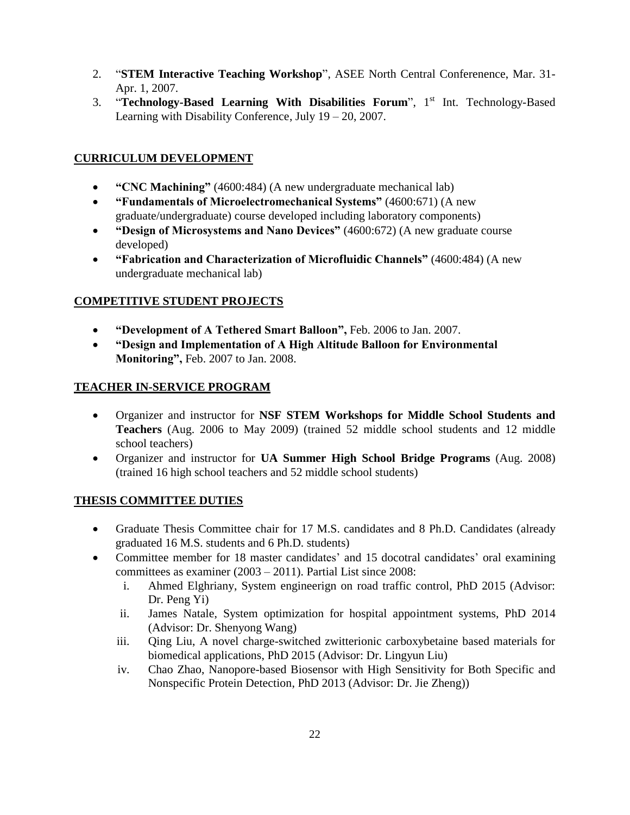- 2. "**STEM Interactive Teaching Workshop**", ASEE North Central Conferenence, Mar. 31- Apr. 1, 2007.
- 3. "**Technology-Based Learning With Disabilities Forum**", 1 st Int. Technology-Based Learning with Disability Conference, July 19 – 20, 2007.

### **CURRICULUM DEVELOPMENT**

- **"CNC Machining"** (4600:484) (A new undergraduate mechanical lab)
- **"Fundamentals of Microelectromechanical Systems"** (4600:671) (A new graduate/undergraduate) course developed including laboratory components)
- **"Design of Microsystems and Nano Devices"** (4600:672) (A new graduate course developed)
- **"Fabrication and Characterization of Microfluidic Channels"** (4600:484) (A new undergraduate mechanical lab)

### **COMPETITIVE STUDENT PROJECTS**

- **"Development of A Tethered Smart Balloon",** Feb. 2006 to Jan. 2007.
- **"Design and Implementation of A High Altitude Balloon for Environmental Monitoring",** Feb. 2007 to Jan. 2008.

### **TEACHER IN-SERVICE PROGRAM**

- Organizer and instructor for **NSF STEM Workshops for Middle School Students and Teachers** (Aug. 2006 to May 2009) (trained 52 middle school students and 12 middle school teachers)
- Organizer and instructor for **UA Summer High School Bridge Programs** (Aug. 2008) (trained 16 high school teachers and 52 middle school students)

### **THESIS COMMITTEE DUTIES**

- Graduate Thesis Committee chair for 17 M.S. candidates and 8 Ph.D. Candidates (already graduated 16 M.S. students and 6 Ph.D. students)
- Committee member for 18 master candidates' and 15 docotral candidates' oral examining committees as examiner (2003 – 2011). Partial List since 2008:
	- i. Ahmed Elghriany, System engineerign on road traffic control, PhD 2015 (Advisor: Dr. Peng Yi)
	- ii. James Natale, System optimization for hospital appointment systems, PhD 2014 (Advisor: Dr. Shenyong Wang)
	- iii. Qing Liu, A novel charge-switched zwitterionic carboxybetaine based materials for biomedical applications, PhD 2015 (Advisor: Dr. Lingyun Liu)
	- iv. Chao Zhao, Nanopore-based Biosensor with High Sensitivity for Both Specific and Nonspecific Protein Detection, PhD 2013 (Advisor: Dr. Jie Zheng))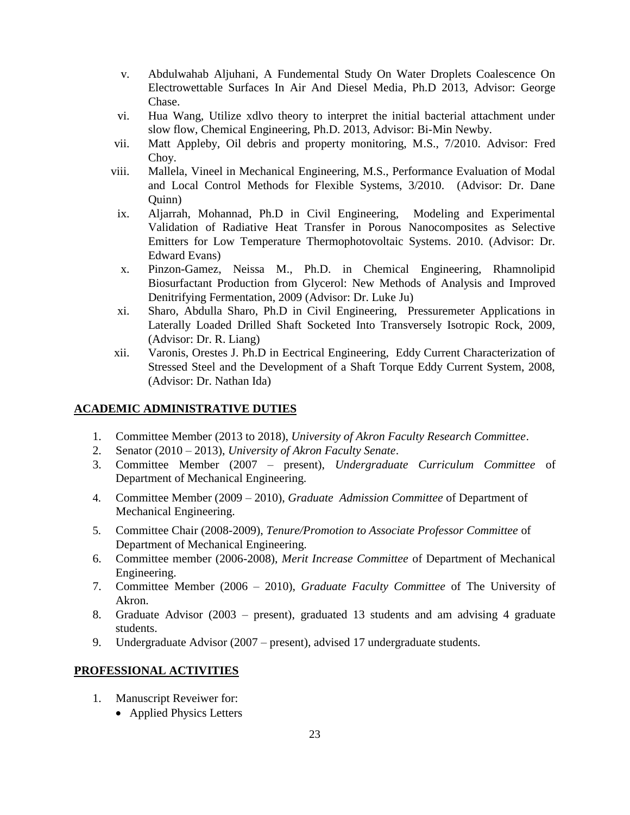- v. Abdulwahab Aljuhani, A Fundemental Study On Water Droplets Coalescence On Electrowettable Surfaces In Air And Diesel Media, Ph.D 2013, Advisor: George Chase.
- vi. Hua Wang, Utilize xdlvo theory to interpret the initial bacterial attachment under slow flow, Chemical Engineering, Ph.D. 2013, Advisor: Bi-Min Newby.
- vii. Matt Appleby, Oil debris and property monitoring, M.S., 7/2010. Advisor: Fred Choy.
- viii. Mallela, Vineel in Mechanical Engineering, M.S., Performance Evaluation of Modal and Local Control Methods for Flexible Systems, 3/2010. (Advisor: Dr. Dane Quinn)
- ix. Aljarrah, Mohannad, Ph.D in Civil Engineering, Modeling and Experimental Validation of Radiative Heat Transfer in Porous Nanocomposites as Selective Emitters for Low Temperature Thermophotovoltaic Systems. 2010. (Advisor: Dr. Edward Evans)
- x. Pinzon-Gamez, Neissa M., Ph.D. in Chemical Engineering, Rhamnolipid Biosurfactant Production from Glycerol: New Methods of Analysis and Improved Denitrifying Fermentation, 2009 (Advisor: Dr. Luke Ju)
- xi. Sharo, Abdulla Sharo, Ph.D in Civil Engineering, Pressuremeter Applications in Laterally Loaded Drilled Shaft Socketed Into Transversely Isotropic Rock, 2009, (Advisor: Dr. R. Liang)
- xii. Varonis, Orestes J. Ph.D in Eectrical Engineering, Eddy Current Characterization of Stressed Steel and the Development of a Shaft Torque Eddy Current System, 2008, (Advisor: Dr. Nathan Ida)

### **ACADEMIC ADMINISTRATIVE DUTIES**

- 1. Committee Member (2013 to 2018), *University of Akron Faculty Research Committee*.
- 2. Senator (2010 2013), *University of Akron Faculty Senate*.
- 3. Committee Member (2007 present), *Undergraduate Curriculum Committee* of Department of Mechanical Engineering.
- 4. Committee Member (2009 2010), *Graduate Admission Committee* of Department of Mechanical Engineering.
- 5. Committee Chair (2008-2009), *Tenure/Promotion to Associate Professor Committee* of Department of Mechanical Engineering.
- 6. Committee member (2006-2008), *Merit Increase Committee* of Department of Mechanical Engineering.
- 7. Committee Member (2006 2010), *Graduate Faculty Committee* of The University of Akron.
- 8. Graduate Advisor (2003 present), graduated 13 students and am advising 4 graduate students.
- 9. Undergraduate Advisor (2007 present), advised 17 undergraduate students.

### **PROFESSIONAL ACTIVITIES**

- 1. Manuscript Reveiwer for:
	- Applied Physics Letters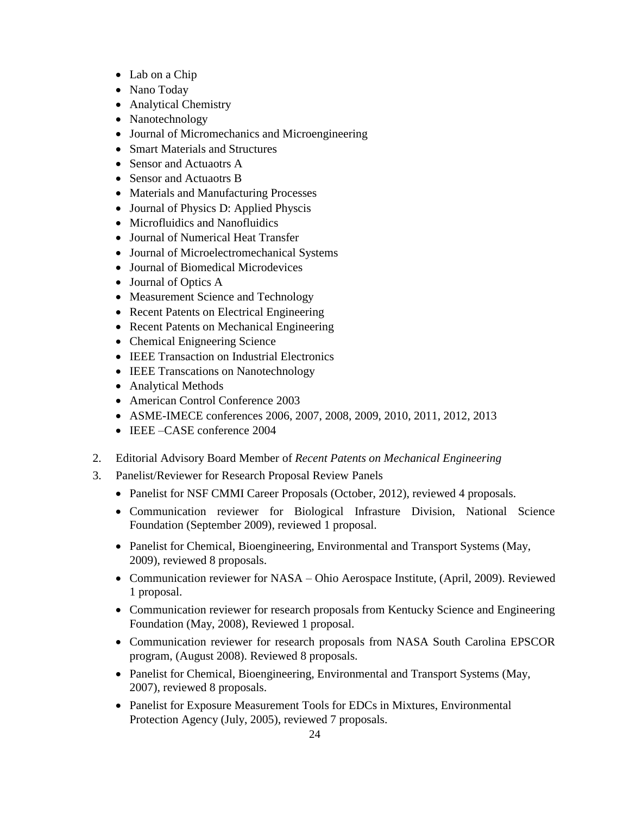- Lab on a Chip
- Nano Today
- Analytical Chemistry
- Nanotechnology
- Journal of Micromechanics and Microengineering
- Smart Materials and Structures
- Sensor and Actuaotrs A
- Sensor and Actuaotrs B
- Materials and Manufacturing Processes
- Journal of Physics D: Applied Physcis
- Microfluidics and Nanofluidics
- Journal of Numerical Heat Transfer
- Journal of Microelectromechanical Systems
- Journal of Biomedical Microdevices
- Journal of Optics A
- Measurement Science and Technology
- Recent Patents on Electrical Engineering
- Recent Patents on Mechanical Engineering
- Chemical Enigneering Science
- IEEE Transaction on Industrial Electronics
- IEEE Transcations on Nanotechnology
- Analytical Methods
- American Control Conference 2003
- ASME-IMECE conferences 2006, 2007, 2008, 2009, 2010, 2011, 2012, 2013
- IEEE –CASE conference 2004
- 2. Editorial Advisory Board Member of *Recent Patents on Mechanical Engineering*
- 3. Panelist/Reviewer for Research Proposal Review Panels
	- Panelist for NSF CMMI Career Proposals (October, 2012), reviewed 4 proposals.
	- Communication reviewer for Biological Infrasture Division, National Science Foundation (September 2009), reviewed 1 proposal.
	- Panelist for Chemical, Bioengineering, Environmental and Transport Systems (May, 2009), reviewed 8 proposals.
	- Communication reviewer for NASA Ohio Aerospace Institute, (April, 2009). Reviewed 1 proposal.
	- Communication reviewer for research proposals from Kentucky Science and Engineering Foundation (May, 2008), Reviewed 1 proposal.
	- Communication reviewer for research proposals from NASA South Carolina EPSCOR program, (August 2008). Reviewed 8 proposals.
	- Panelist for Chemical, Bioengineering, Environmental and Transport Systems (May, 2007), reviewed 8 proposals.
	- Panelist for Exposure Measurement Tools for EDCs in Mixtures, Environmental Protection Agency (July, 2005), reviewed 7 proposals.